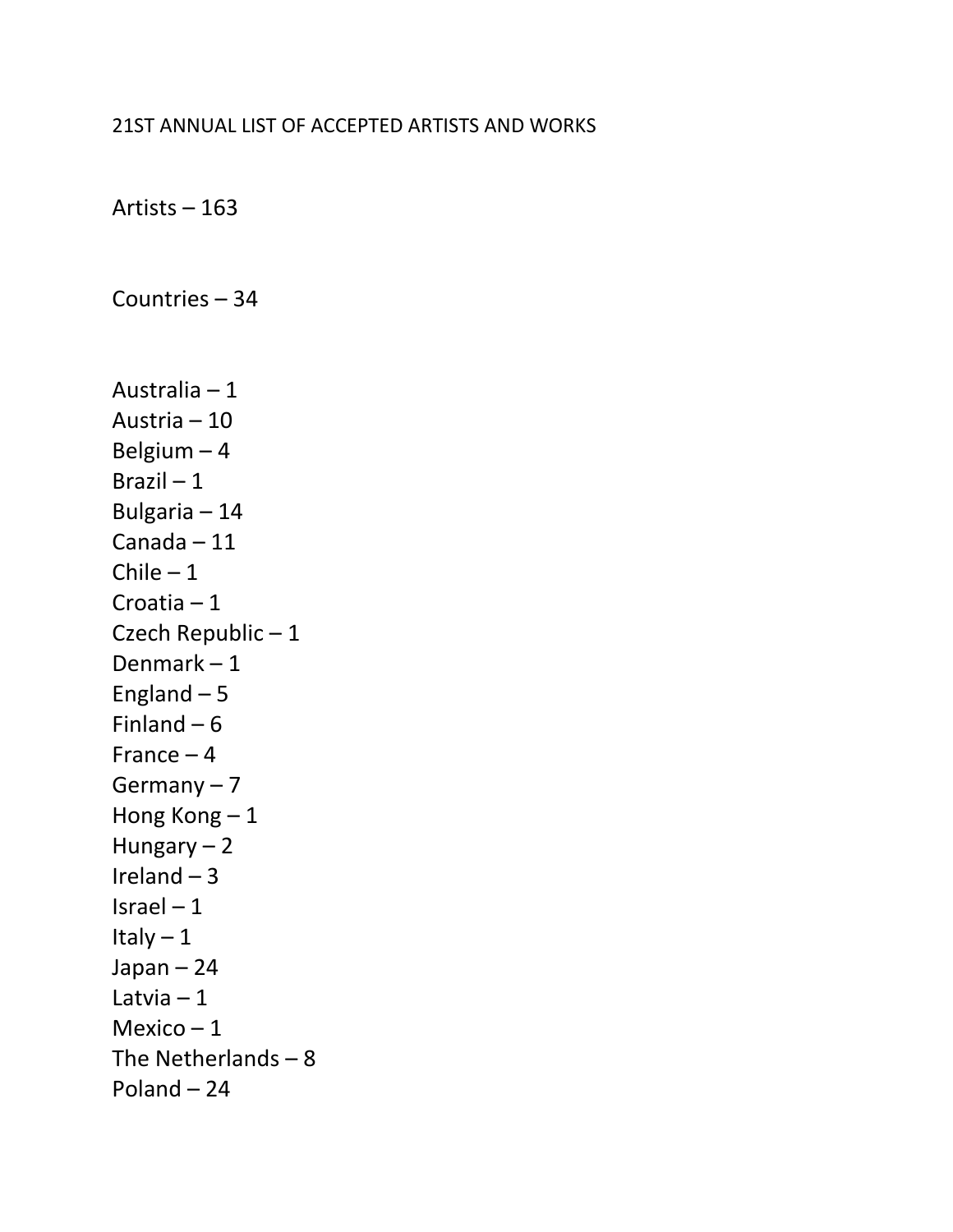#### 21ST ANNUAL LIST OF ACCEPTED ARTISTS AND WORKS

Artists – 163

Countries – 34

Australia – 1 Austria – 10 Belgium – 4 Brazil – 1 Bulgaria – 14 Canada – 11  $Chile - 1$ Croatia – 1 Czech Republic – 1 Denmark – 1 England  $-5$ Finland  $-6$ France – 4 Germany – 7 Hong Kong – 1 Hungary – 2 Ireland  $-3$ Israel  $-1$ Italy – 1 Japan – 24 Latvia – 1 Mexico  $-1$ The Netherlands – 8 Poland – 24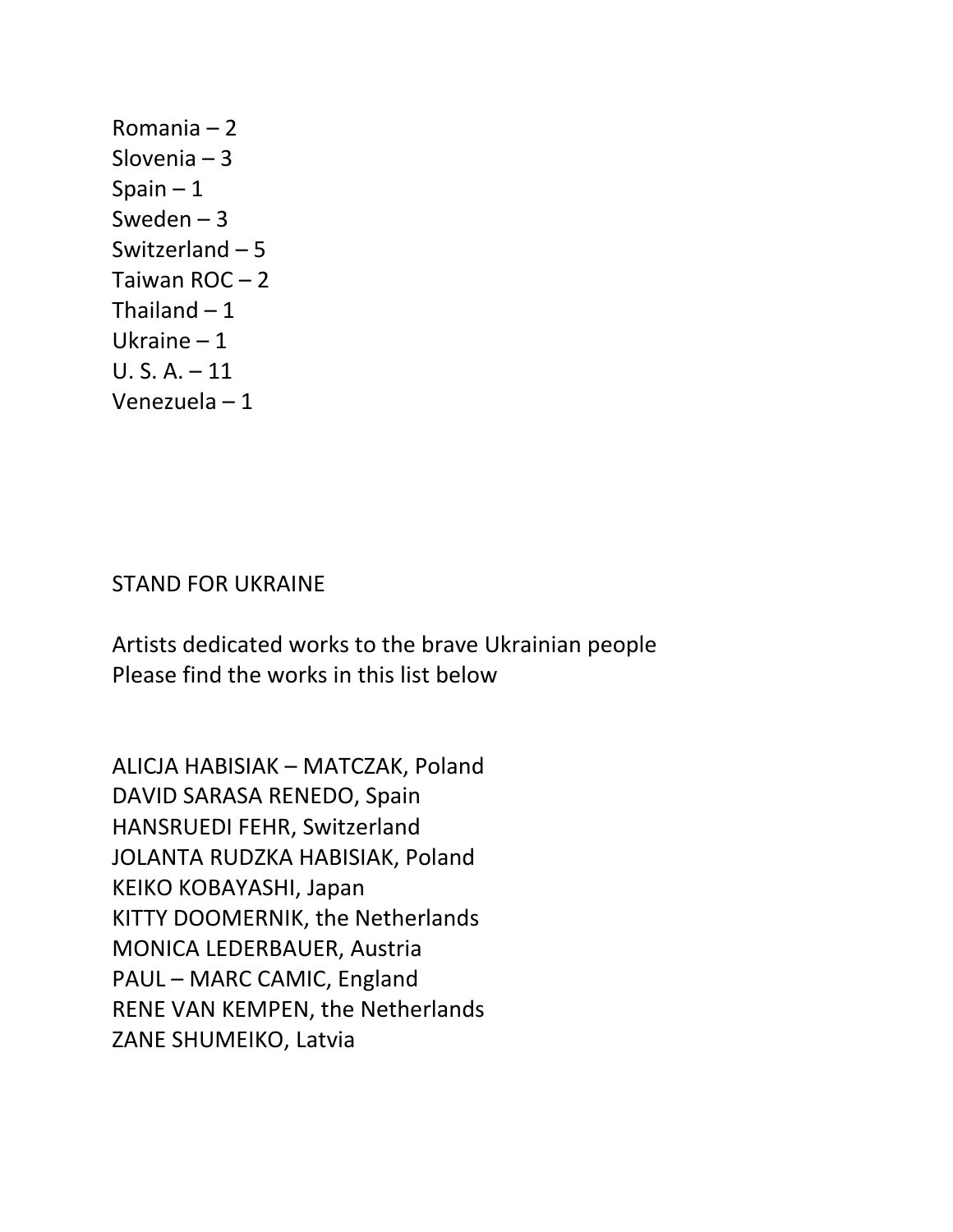Romania – 2 Slovenia – 3 Spain  $-1$ Sweden – 3 Switzerland – 5 Taiwan ROC – 2 Thailand  $-1$ Ukraine – 1 U. S. A. – 11 Venezuela – 1

#### STAND FOR UKRAINE

Artists dedicated works to the brave Ukrainian people Please find the works in this list below

ALICJA HABISIAK – MATCZAK, Poland DAVID SARASA RENEDO, Spain HANSRUEDI FEHR, Switzerland JOLANTA RUDZKA HABISIAK, Poland KEIKO KOBAYASHI, Japan KITTY DOOMERNIK, the Netherlands MONICA LEDERBAUER, Austria PAUL – MARC CAMIC, England RENE VAN KEMPEN, the Netherlands ZANE SHUMEIKO, Latvia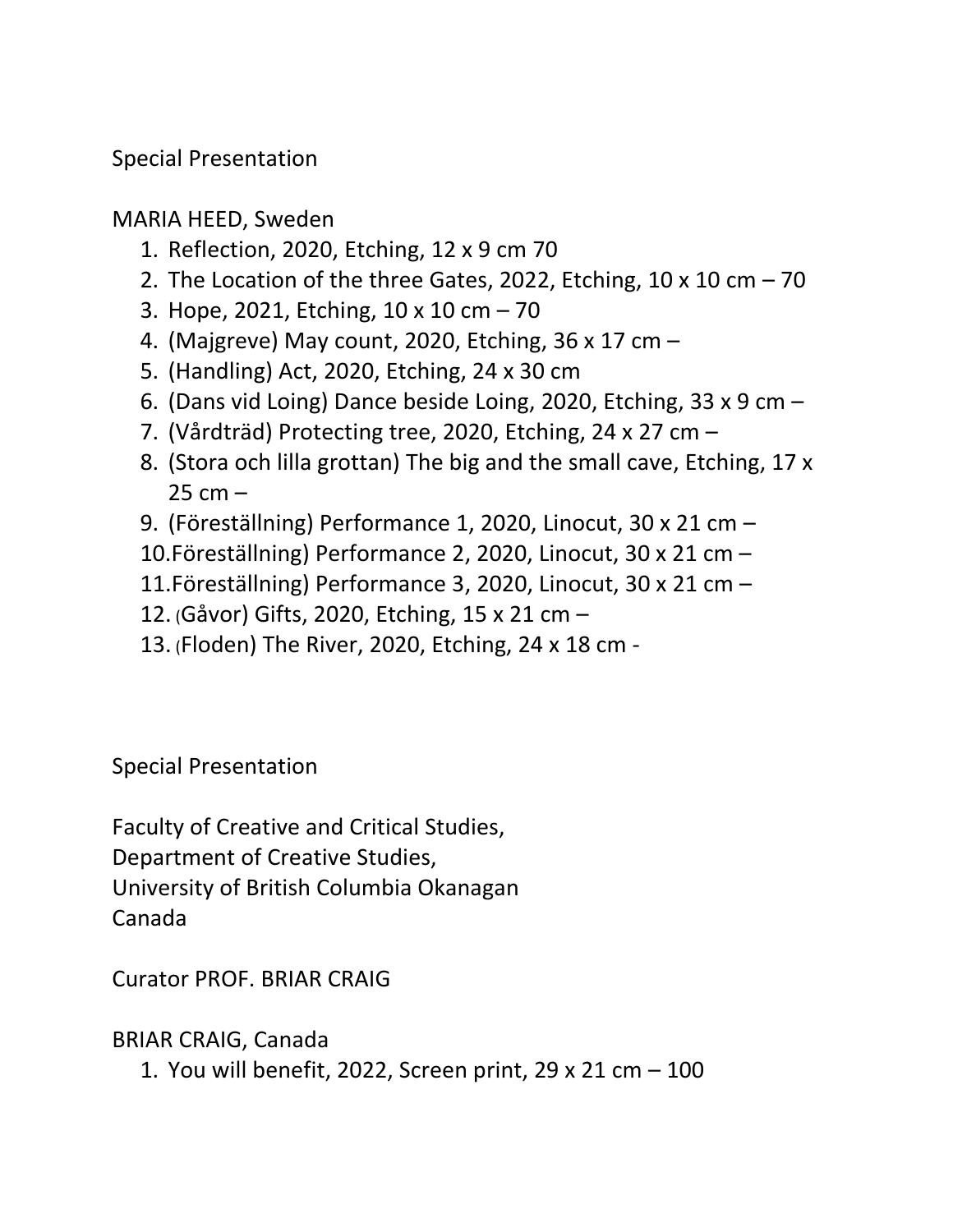Special Presentation

MARIA HEED, Sweden

- 1. Reflection, 2020, Etching, 12 x 9 cm 70
- 2. The Location of the three Gates, 2022, Etching, 10 x 10 cm  $-70$
- 3. Hope, 2021, Etching, 10 x 10 cm 70
- 4. (Majgreve) May count, 2020, Etching, 36 x 17 cm –
- 5. (Handling) Act, 2020, Etching, 24 x 30 cm
- 6. (Dans vid Loing) Dance beside Loing, 2020, Etching, 33 x 9 cm –
- 7. (Vårdträd) Protecting tree, 2020, Etching, 24 x 27 cm –
- 8. (Stora och lilla grottan) The big and the small cave, Etching, 17 x  $25$  cm  $-$
- 9. (Föreställning) Performance 1, 2020, Linocut, 30 x 21 cm –
- 10.Föreställning) Performance 2, 2020, Linocut, 30 x 21 cm –
- 11.Föreställning) Performance 3, 2020, Linocut, 30 x 21 cm –
- 12. (Gåvor) Gifts, 2020, Etching, 15 x 21 cm –
- 13. (Floden) The River, 2020, Etching, 24 x 18 cm -

Special Presentation

Faculty of Creative and Critical Studies, Department of Creative Studies, University of British Columbia Okanagan Canada

Curator PROF. BRIAR CRAIG

BRIAR CRAIG, Canada

1. You will benefit, 2022, Screen print, 29 x 21 cm – 100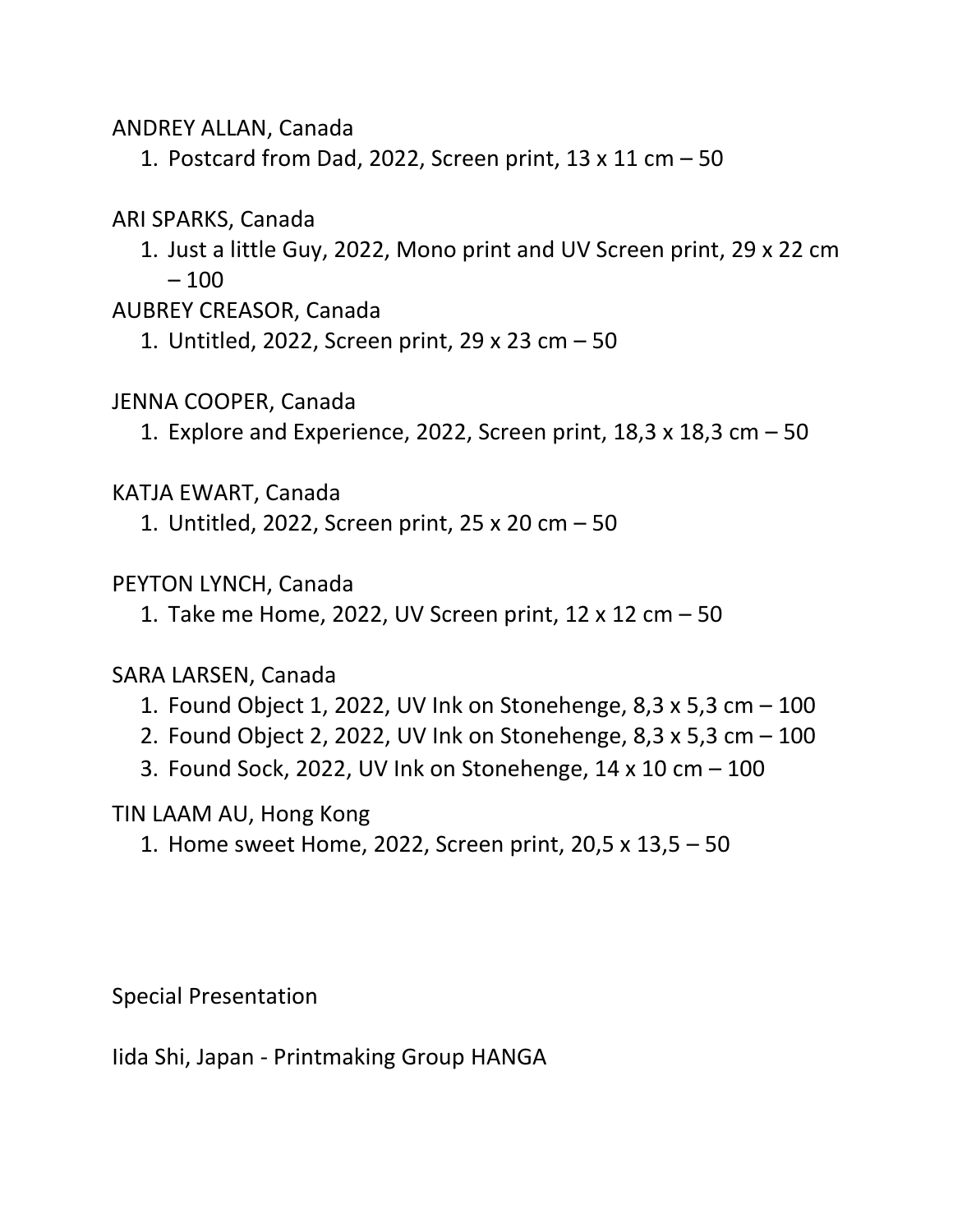ANDREY ALLAN, Canada

1. Postcard from Dad, 2022, Screen print, 13 x 11 cm – 50

# ARI SPARKS, Canada

1. Just a little Guy, 2022, Mono print and UV Screen print, 29 x 22 cm – 100

### AUBREY CREASOR, Canada

1. Untitled, 2022, Screen print, 29 x 23 cm – 50

# JENNA COOPER, Canada

1. Explore and Experience, 2022, Screen print,  $18,3 \times 18,3 \text{ cm} - 50$ 

# KATJA EWART, Canada

1. Untitled, 2022, Screen print, 25 x 20 cm – 50

# PEYTON LYNCH, Canada

1. Take me Home, 2022, UV Screen print, 12 x 12 cm – 50

# SARA LARSEN, Canada

- 1. Found Object 1, 2022, UV Ink on Stonehenge, 8,3 x 5,3 cm 100
- 2. Found Object 2, 2022, UV Ink on Stonehenge, 8,3 x 5,3 cm 100
- 3. Found Sock, 2022, UV Ink on Stonehenge, 14 x 10 cm 100

# TIN LAAM AU, Hong Kong

1. Home sweet Home, 2022, Screen print, 20,5 x 13,5 – 50

Special Presentation

Iida Shi, Japan - Printmaking Group HANGA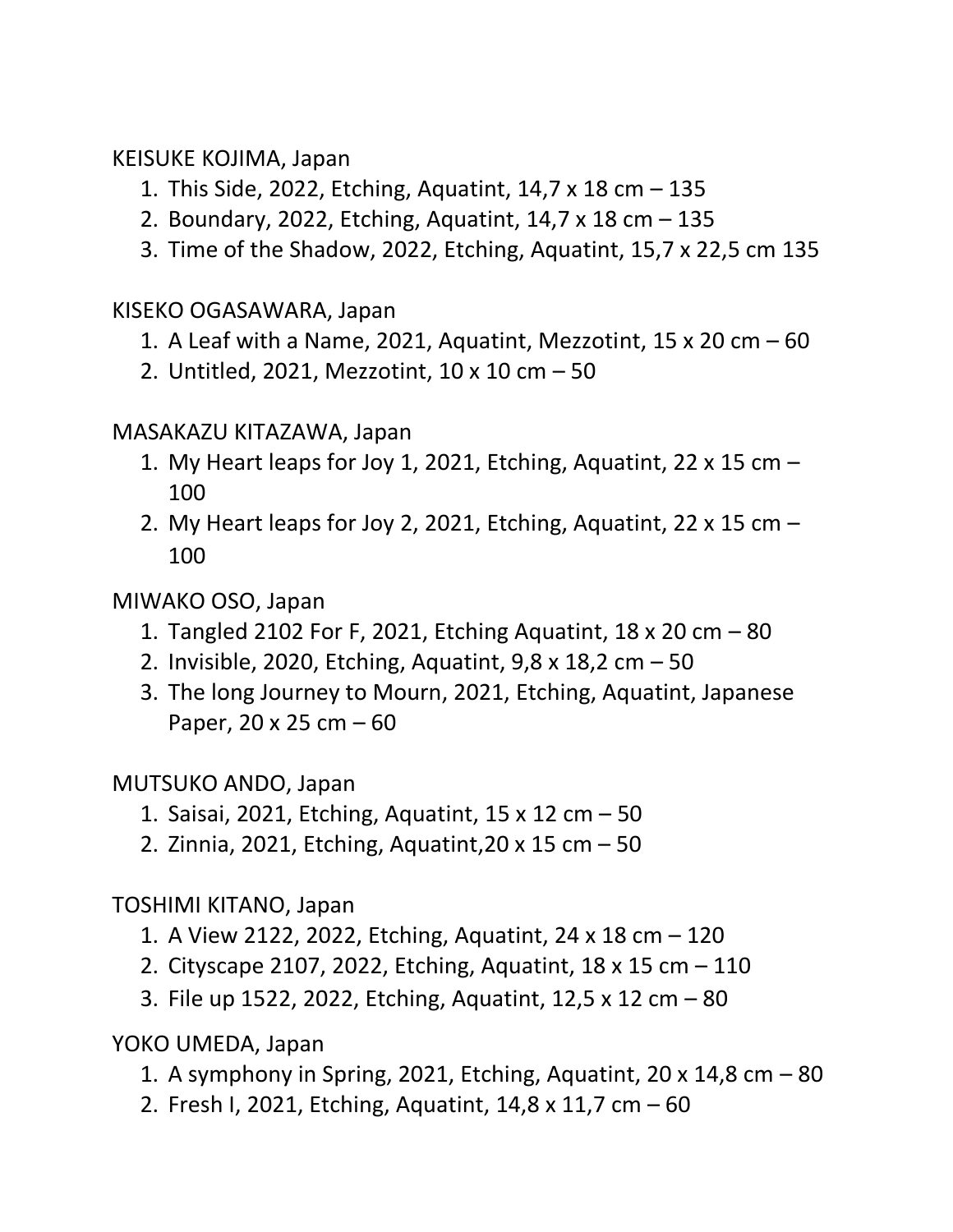### KEISUKE KOJIMA, Japan

- 1. This Side, 2022, Etching, Aquatint, 14,7 x 18 cm 135
- 2. Boundary, 2022, Etching, Aquatint, 14,7 x 18 cm 135
- 3. Time of the Shadow, 2022, Etching, Aquatint, 15,7 x 22,5 cm 135

# KISEKO OGASAWARA, Japan

- 1. A Leaf with a Name, 2021, Aquatint, Mezzotint, 15 x 20 cm  $-60$
- 2. Untitled, 2021, Mezzotint, 10 x 10 cm 50

# MASAKAZU KITAZAWA, Japan

- 1. My Heart leaps for Joy 1, 2021, Etching, Aquatint, 22  $\times$  15 cm  $-$ 100
- 2. My Heart leaps for Joy 2, 2021, Etching, Aquatint, 22  $\times$  15 cm  $-$ 100

# MIWAKO OSO, Japan

- 1. Tangled 2102 For F, 2021, Etching Aquatint, 18 x 20 cm 80
- 2. Invisible, 2020, Etching, Aquatint, 9,8 x 18,2 cm 50
- 3. The long Journey to Mourn, 2021, Etching, Aquatint, Japanese Paper, 20 x 25 cm – 60

# MUTSUKO ANDO, Japan

- 1. Saisai, 2021, Etching, Aquatint, 15 x 12 cm 50
- 2. Zinnia, 2021, Etching, Aquatint,20 x 15 cm 50

# TOSHIMI KITANO, Japan

- 1. A View 2122, 2022, Etching, Aquatint, 24 x 18 cm 120
- 2. Cityscape 2107, 2022, Etching, Aquatint, 18 x 15 cm 110
- 3. File up 1522, 2022, Etching, Aquatint, 12,5 x 12 cm 80

YOKO UMEDA, Japan

- 1. A symphony in Spring, 2021, Etching, Aquatint, 20  $\times$  14,8 cm  $-$  80
- 2. Fresh I, 2021, Etching, Aquatint, 14,8 x 11,7 cm 60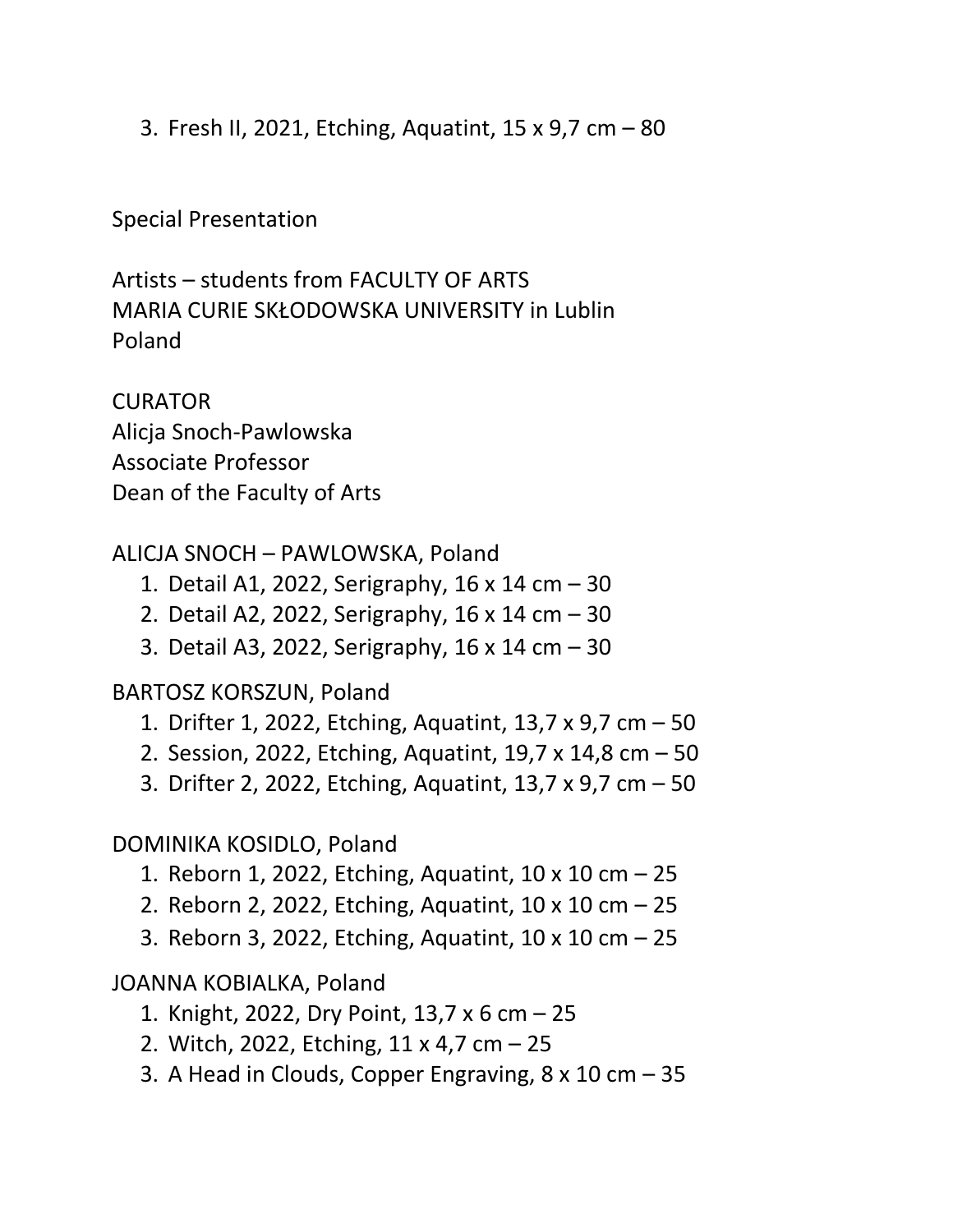3. Fresh II, 2021, Etching, Aquatint, 15 x 9,7 cm – 80

Special Presentation

Artists – students from FACULTY OF ARTS MARIA CURIE SKŁODOWSKA UNIVERSITY in Lublin Poland

**CURATOR** Alicja Snoch-Pawlowska Associate Professor Dean of the Faculty of Arts

# ALICJA SNOCH – PAWLOWSKA, Poland

- 1. Detail A1, 2022, Serigraphy, 16 x 14 cm 30
- 2. Detail A2, 2022, Serigraphy, 16 x 14 cm 30
- 3. Detail A3, 2022, Serigraphy, 16 x 14 cm 30

#### BARTOSZ KORSZUN, Poland

- 1. Drifter 1, 2022, Etching, Aquatint, 13,7 x 9,7 cm 50
- 2. Session, 2022, Etching, Aquatint, 19,7 x 14,8 cm 50
- 3. Drifter 2, 2022, Etching, Aquatint, 13,7 x 9,7 cm 50

# DOMINIKA KOSIDLO, Poland

- 1. Reborn 1, 2022, Etching, Aquatint, 10 x 10 cm 25
- 2. Reborn 2, 2022, Etching, Aquatint, 10 x 10 cm 25
- 3. Reborn 3, 2022, Etching, Aquatint, 10 x 10 cm 25

# JOANNA KOBIALKA, Poland

- 1. Knight, 2022, Dry Point, 13,7 x 6 cm 25
- 2. Witch, 2022, Etching, 11 x 4,7 cm 25
- 3. A Head in Clouds, Copper Engraving, 8 x 10 cm 35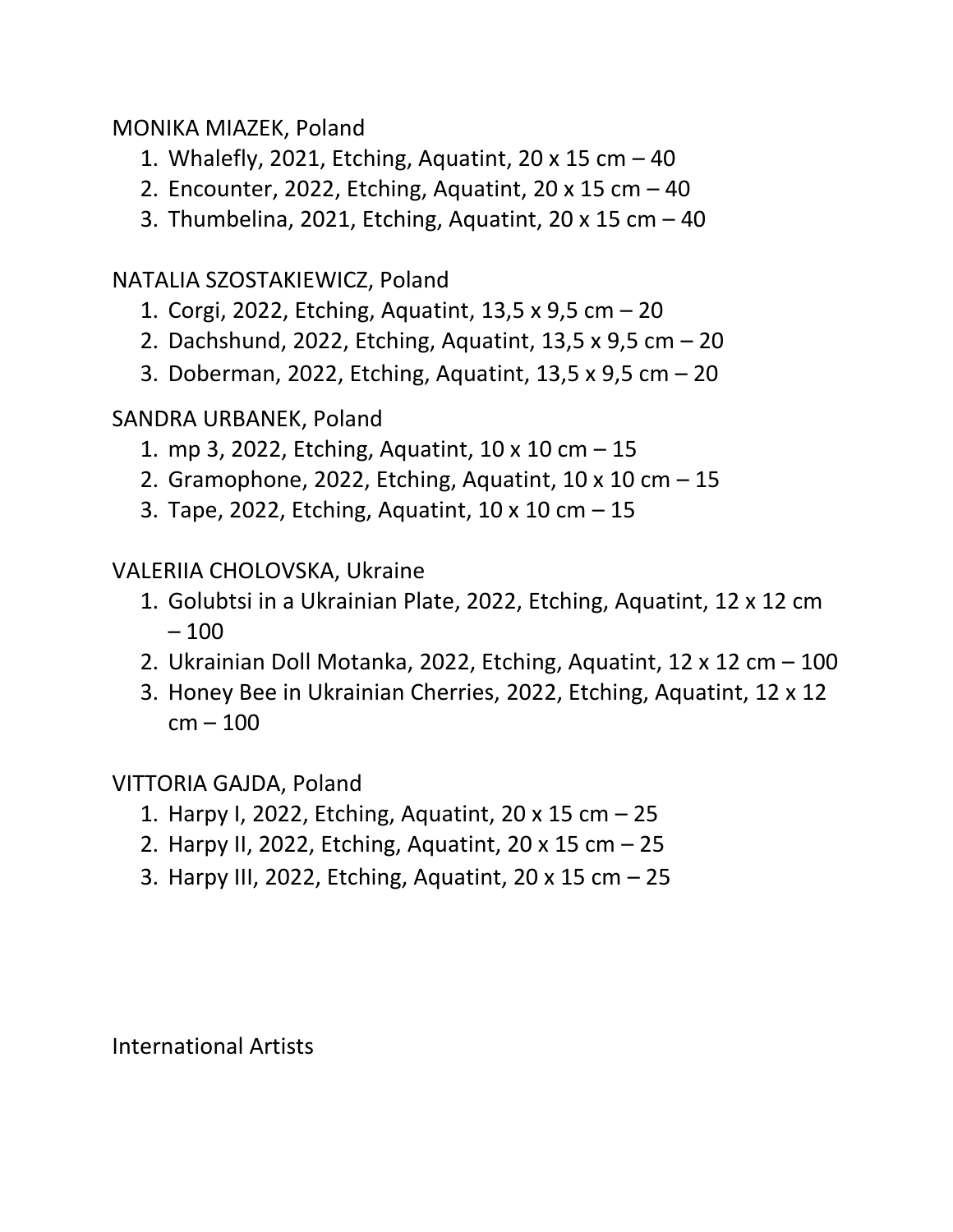### MONIKA MIAZEK, Poland

- 1. Whalefly, 2021, Etching, Aquatint, 20 x 15 cm 40
- 2. Encounter, 2022, Etching, Aquatint,  $20 \times 15$  cm  $-40$
- 3. Thumbelina, 2021, Etching, Aquatint, 20 x 15 cm 40

# NATALIA SZOSTAKIEWICZ, Poland

- 1. Corgi, 2022, Etching, Aquatint, 13,5 x 9,5 cm 20
- 2. Dachshund, 2022, Etching, Aquatint, 13,5 x 9,5 cm 20
- 3. Doberman, 2022, Etching, Aquatint, 13,5 x 9,5 cm 20

# SANDRA URBANEK, Poland

- 1. mp 3, 2022, Etching, Aquatint, 10 x 10 cm 15
- 2. Gramophone, 2022, Etching, Aquatint,  $10 \times 10$  cm  $-15$
- 3. Tape, 2022, Etching, Aquatint, 10 x 10 cm 15

# VALERIIA CHOLOVSKA, Ukraine

- 1. Golubtsi in a Ukrainian Plate, 2022, Etching, Aquatint, 12 x 12 cm – 100
- 2. Ukrainian Doll Motanka, 2022, Etching, Aquatint, 12 x 12 cm 100
- 3. Honey Bee in Ukrainian Cherries, 2022, Etching, Aquatint, 12 x 12  $cm - 100$

# VITTORIA GAJDA, Poland

- 1. Harpy I, 2022, Etching, Aquatint, 20 x 15 cm 25
- 2. Harpy II, 2022, Etching, Aquatint, 20 x 15 cm 25
- 3. Harpy III, 2022, Etching, Aquatint, 20 x 15 cm 25

International Artists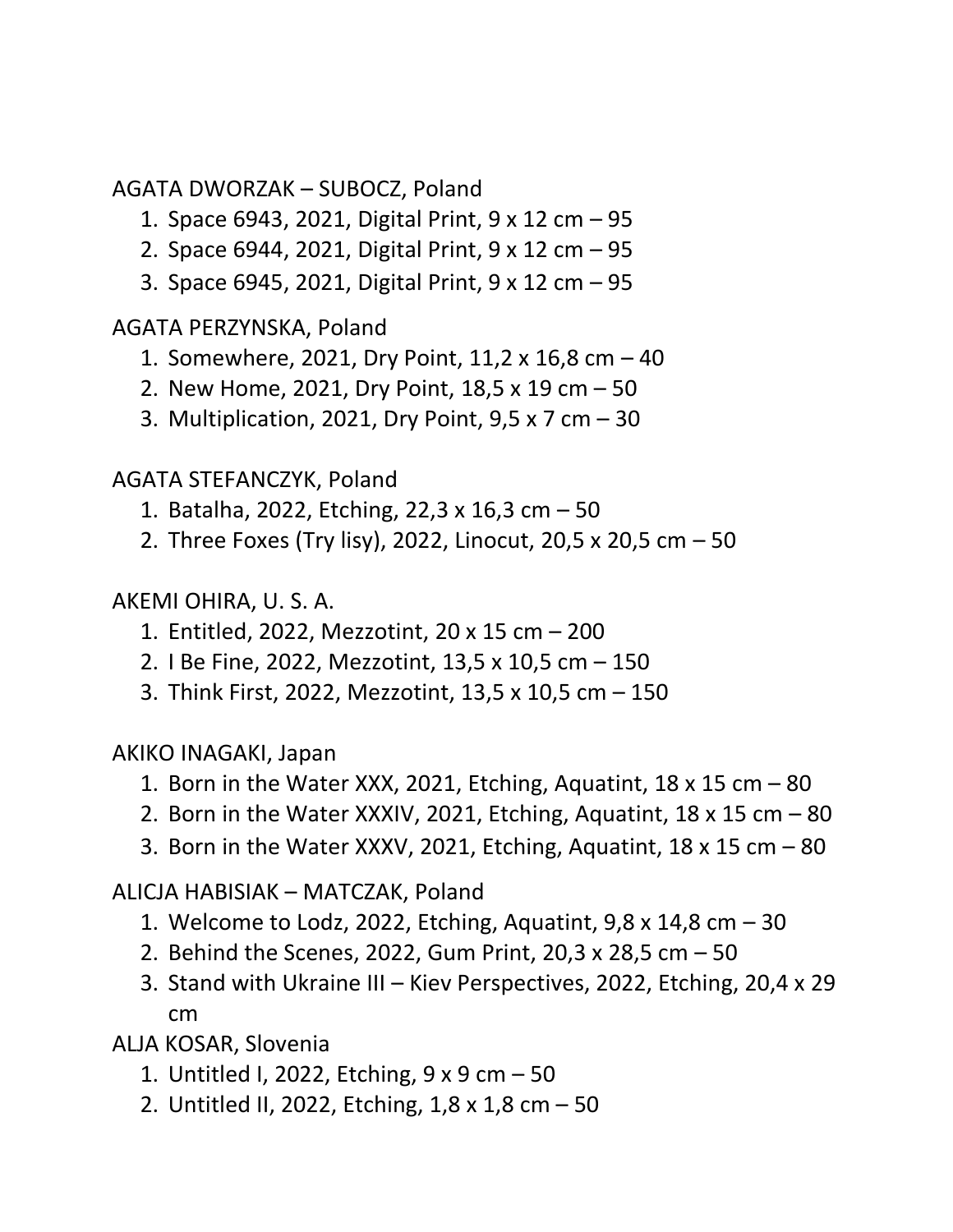AGATA DWORZAK – SUBOCZ, Poland

- 1. Space 6943, 2021, Digital Print, 9 x 12 cm 95
- 2. Space 6944, 2021, Digital Print, 9 x 12 cm 95
- 3. Space 6945, 2021, Digital Print, 9 x 12 cm 95

AGATA PERZYNSKA, Poland

- 1. Somewhere, 2021, Dry Point, 11,2 x 16,8 cm 40
- 2. New Home, 2021, Dry Point, 18,5 x 19 cm 50
- 3. Multiplication, 2021, Dry Point, 9,5 x 7 cm 30

AGATA STEFANCZYK, Poland

- 1. Batalha, 2022, Etching, 22,3 x 16,3 cm 50
- 2. Three Foxes (Try lisy), 2022, Linocut, 20,5 x 20,5 cm 50

# AKEMI OHIRA, U. S. A.

- 1. Entitled, 2022, Mezzotint, 20 x 15 cm 200
- 2. I Be Fine, 2022, Mezzotint, 13,5 x 10,5 cm 150
- 3. Think First, 2022, Mezzotint, 13,5 x 10,5 cm 150

AKIKO INAGAKI, Japan

- 1. Born in the Water XXX, 2021, Etching, Aquatint,  $18 \times 15$  cm  $-80$
- 2. Born in the Water XXXIV, 2021, Etching, Aquatint,  $18 \times 15$  cm  $-80$
- 3. Born in the Water XXXV, 2021, Etching, Aquatint,  $18 \times 15$  cm  $-80$

ALICJA HABISIAK – MATCZAK, Poland

- 1. Welcome to Lodz, 2022, Etching, Aquatint, 9,8 x 14,8 cm 30
- 2. Behind the Scenes, 2022, Gum Print, 20,3 x 28,5 cm 50
- 3. Stand with Ukraine III Kiev Perspectives, 2022, Etching, 20,4 x 29 cm

ALJA KOSAR, Slovenia

- 1. Untitled I, 2022, Etching, 9 x 9 cm 50
- 2. Untitled II, 2022, Etching, 1,8 x 1,8 cm 50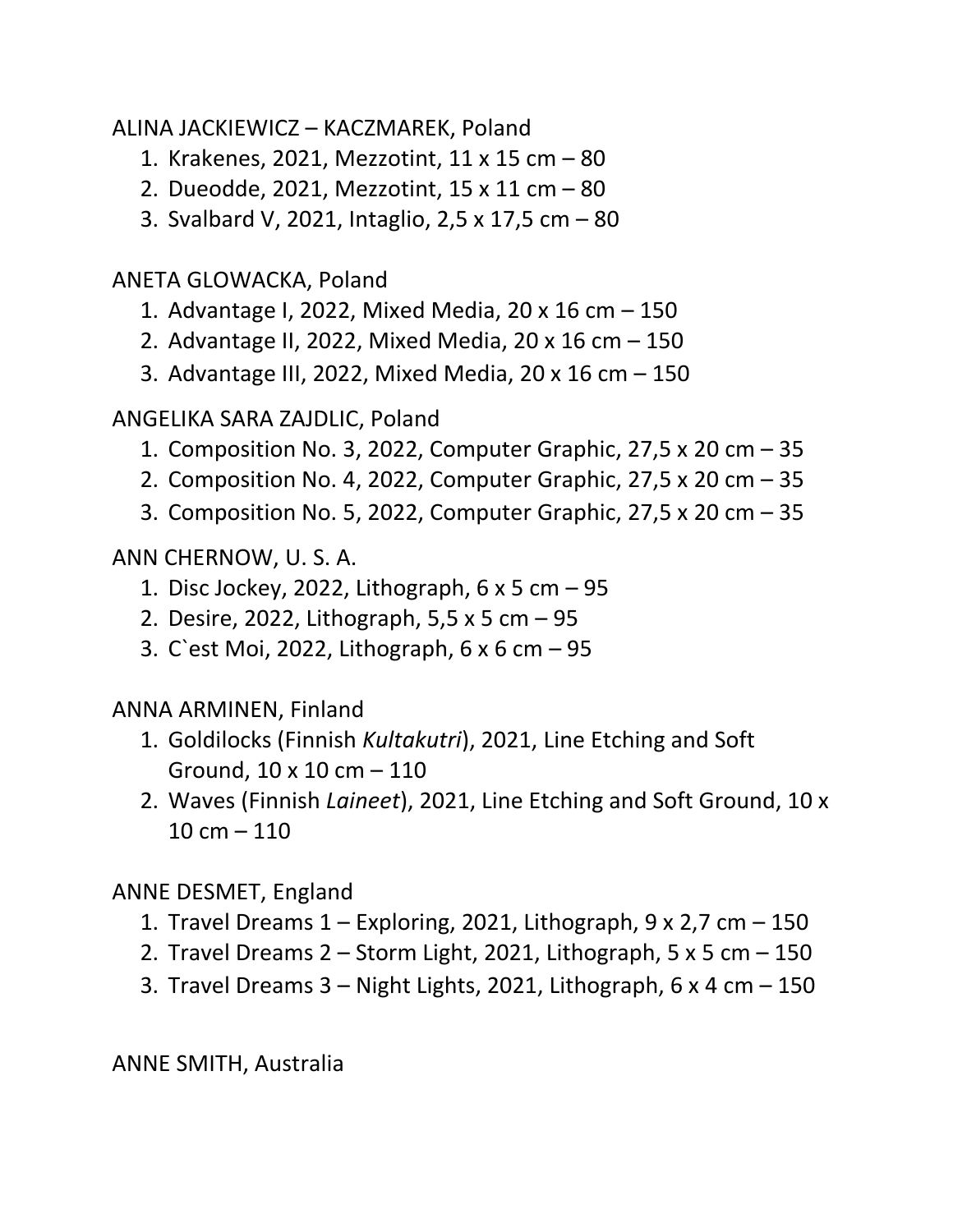ALINA JACKIEWICZ – KACZMAREK, Poland

- 1. Krakenes, 2021, Mezzotint, 11 x 15 cm 80
- 2. Dueodde, 2021, Mezzotint, 15 x 11 cm 80
- 3. Svalbard V, 2021, Intaglio, 2,5 x 17,5 cm 80

ANETA GLOWACKA, Poland

- 1. Advantage I, 2022, Mixed Media, 20 x 16 cm 150
- 2. Advantage II, 2022, Mixed Media, 20 x 16 cm 150
- 3. Advantage III, 2022, Mixed Media, 20 x 16 cm 150

# ANGELIKA SARA ZAJDLIC, Poland

- 1. Composition No. 3, 2022, Computer Graphic, 27,5 x 20 cm 35
- 2. Composition No. 4, 2022, Computer Graphic, 27,5 x 20 cm 35
- 3. Composition No. 5, 2022, Computer Graphic, 27,5 x 20 cm 35

ANN CHERNOW, U. S. A.

- 1. Disc Jockey, 2022, Lithograph, 6 x 5 cm 95
- 2. Desire, 2022, Lithograph, 5,5 x 5 cm 95
- 3. C`est Moi, 2022, Lithograph, 6 x 6 cm 95

# ANNA ARMINEN, Finland

- 1. Goldilocks (Finnish *Kultakutri*), 2021, Line Etching and Soft Ground, 10 x 10 cm – 110
- 2. Waves (Finnish *Laineet*), 2021, Line Etching and Soft Ground, 10 x  $10 cm - 110$

# ANNE DESMET, England

- 1. Travel Dreams  $1 -$  Exploring, 2021, Lithograph, 9 x 2,7 cm  $-$  150
- 2. Travel Dreams  $2 -$  Storm Light, 2021, Lithograph, 5 x 5 cm  $-$  150
- 3. Travel Dreams  $3 -$  Night Lights, 2021, Lithograph, 6 x 4 cm  $-$  150

ANNE SMITH, Australia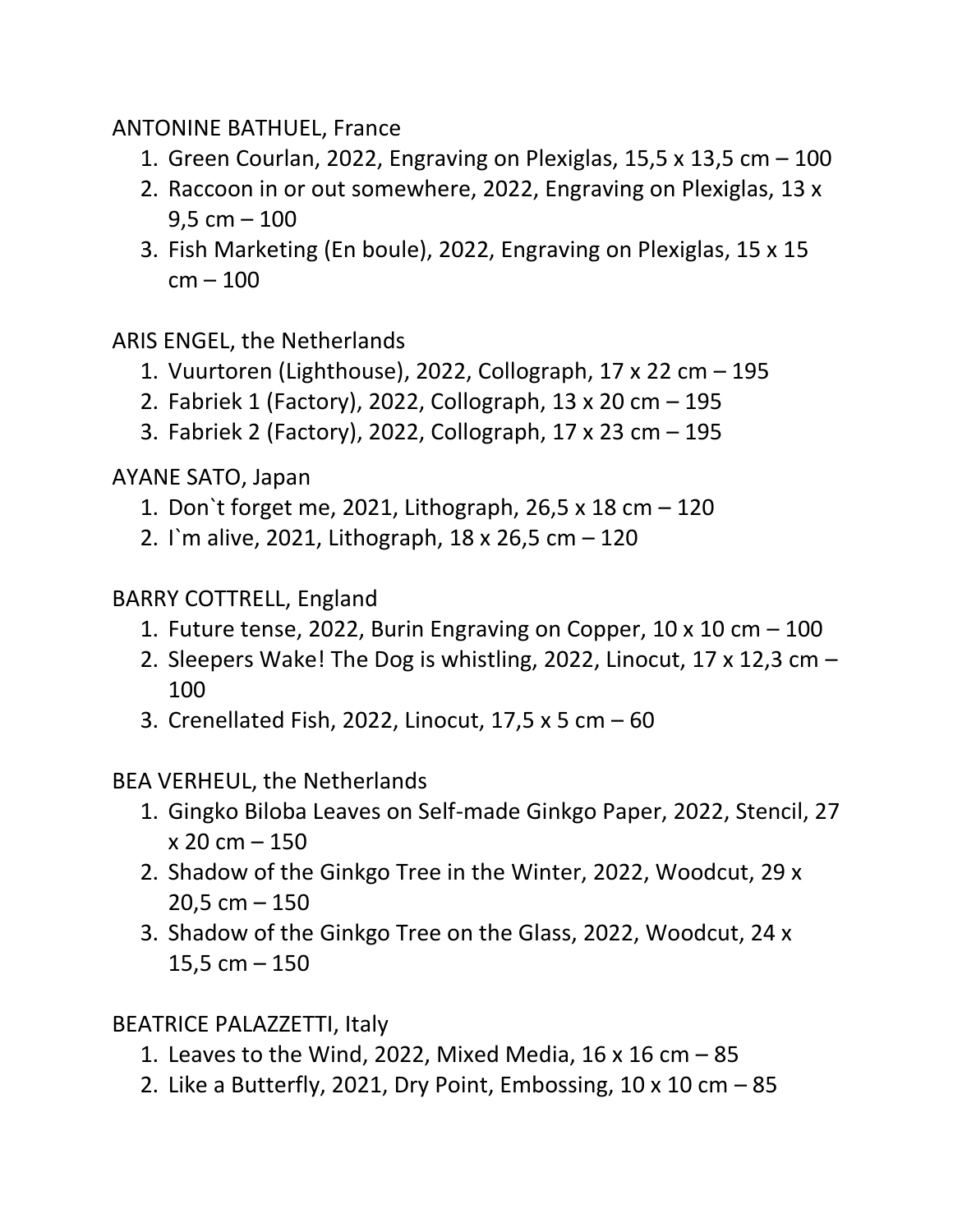ANTONINE BATHUEL, France

- 1. Green Courlan, 2022, Engraving on Plexiglas, 15,5 x 13,5 cm  $-$  100
- 2. Raccoon in or out somewhere, 2022, Engraving on Plexiglas, 13 x  $9.5 cm - 100$
- 3. Fish Marketing (En boule), 2022, Engraving on Plexiglas, 15 x 15 cm – 100

ARIS ENGEL, the Netherlands

- 1. Vuurtoren (Lighthouse), 2022, Collograph, 17 x 22 cm 195
- 2. Fabriek 1 (Factory), 2022, Collograph, 13 x 20 cm 195
- 3. Fabriek 2 (Factory), 2022, Collograph, 17 x 23 cm 195

AYANE SATO, Japan

- 1. Don`t forget me, 2021, Lithograph, 26,5 x 18 cm 120
- 2. I`m alive, 2021, Lithograph, 18 x 26,5 cm 120

BARRY COTTRELL, England

- 1. Future tense, 2022, Burin Engraving on Copper,  $10 \times 10$  cm  $-100$
- 2. Sleepers Wake! The Dog is whistling, 2022, Linocut, 17 x 12,3 cm  $-$ 100
- 3. Crenellated Fish, 2022, Linocut, 17,5 x 5 cm 60

BEA VERHEUL, the Netherlands

- 1. Gingko Biloba Leaves on Self-made Ginkgo Paper, 2022, Stencil, 27  $x 20 cm - 150$
- 2. Shadow of the Ginkgo Tree in the Winter, 2022, Woodcut, 29 x  $20,5$  cm  $-150$
- 3. Shadow of the Ginkgo Tree on the Glass, 2022, Woodcut, 24 x 15,5 cm – 150

BEATRICE PALAZZETTI, Italy

- 1. Leaves to the Wind, 2022, Mixed Media,  $16 \times 16$  cm  $-85$
- 2. Like a Butterfly, 2021, Dry Point, Embossing,  $10 \times 10$  cm  $-85$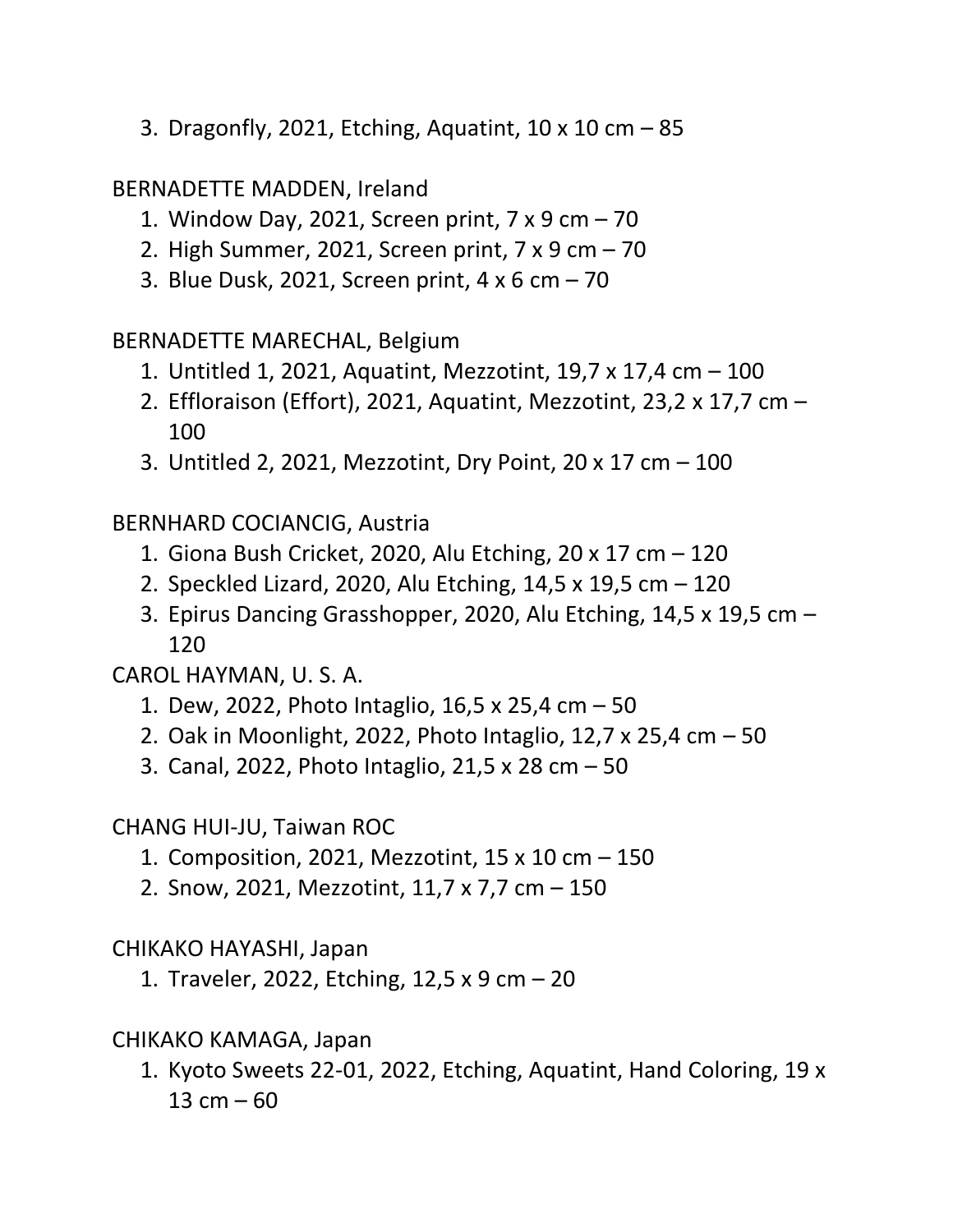3. Dragonfly, 2021, Etching, Aquatint, 10 x 10 cm – 85

# BERNADETTE MADDEN, Ireland

- 1. Window Day, 2021, Screen print, 7 x 9 cm 70
- 2. High Summer, 2021, Screen print, 7 x 9 cm 70
- 3. Blue Dusk, 2021, Screen print, 4 x 6 cm 70

BERNADETTE MARECHAL, Belgium

- 1. Untitled 1, 2021, Aquatint, Mezzotint, 19,7 x 17,4 cm 100
- 2. Effloraison (Effort), 2021, Aquatint, Mezzotint, 23,2 x 17,7 cm 100
- 3. Untitled 2, 2021, Mezzotint, Dry Point, 20 x 17 cm 100

BERNHARD COCIANCIG, Austria

- 1. Giona Bush Cricket, 2020, Alu Etching, 20 x 17 cm 120
- 2. Speckled Lizard, 2020, Alu Etching, 14,5 x 19,5 cm 120
- 3. Epirus Dancing Grasshopper, 2020, Alu Etching, 14,5 x 19,5 cm 120

CAROL HAYMAN, U. S. A.

- 1. Dew, 2022, Photo Intaglio, 16,5 x 25,4 cm 50
- 2. Oak in Moonlight, 2022, Photo Intaglio, 12,7 x 25,4 cm 50
- 3. Canal, 2022, Photo Intaglio, 21,5 x 28 cm 50

CHANG HUI-JU, Taiwan ROC

- 1. Composition, 2021, Mezzotint, 15 x 10 cm 150
- 2. Snow, 2021, Mezzotint, 11,7 x 7,7 cm 150

CHIKAKO HAYASHI, Japan

1. Traveler, 2022, Etching, 12,5 x 9 cm – 20

CHIKAKO KAMAGA, Japan

1. Kyoto Sweets 22-01, 2022, Etching, Aquatint, Hand Coloring, 19 x 13 cm  $-60$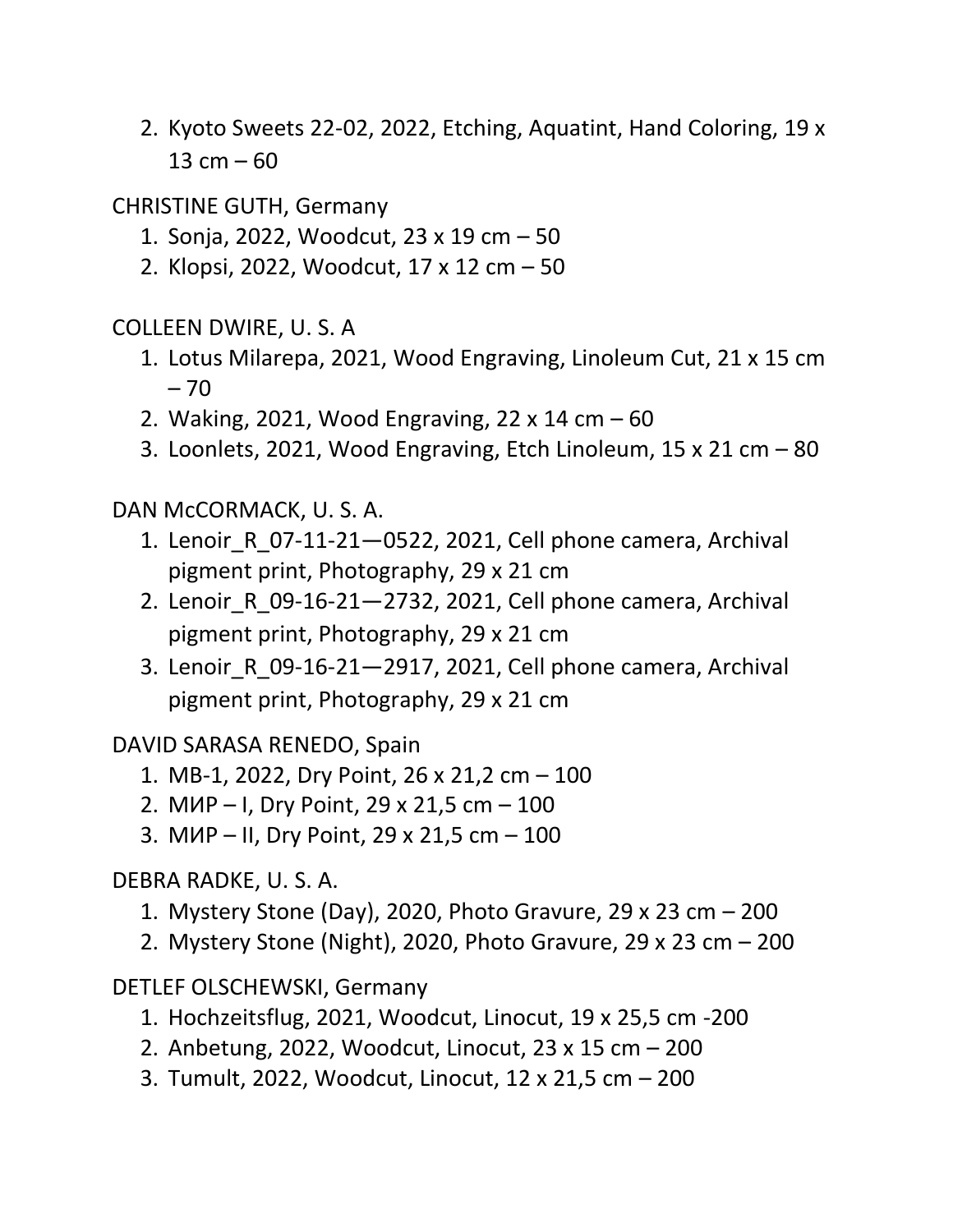2. Kyoto Sweets 22-02, 2022, Etching, Aquatint, Hand Coloring, 19 x 13  $cm - 60$ 

CHRISTINE GUTH, Germany

- 1. Sonja, 2022, Woodcut, 23 x 19 cm 50
- 2. Klopsi, 2022, Woodcut, 17 x 12 cm 50

COLLEEN DWIRE, U. S. A

- 1. Lotus Milarepa, 2021, Wood Engraving, Linoleum Cut, 21 x 15 cm  $-70$
- 2. Waking, 2021, Wood Engraving, 22 x 14 cm 60
- 3. Loonlets, 2021, Wood Engraving, Etch Linoleum, 15 x 21 cm 80

DAN McCORMACK, U. S. A.

- 1. Lenoir\_R\_07-11-21—0522, 2021, Cell phone camera, Archival pigment print, Photography, 29 x 21 cm
- 2. Lenoir\_R\_09-16-21—2732, 2021, Cell phone camera, Archival pigment print, Photography, 29 x 21 cm
- 3. Lenoir\_R\_09-16-21—2917, 2021, Cell phone camera, Archival pigment print, Photography, 29 x 21 cm

DAVID SARASA RENEDO, Spain

- 1. MB-1, 2022, Dry Point, 26 x 21,2 cm 100
- 2. МИР I, Dry Point, 29 x 21,5 cm 100
- 3. МИР II, Dry Point, 29 x 21,5 cm 100

DEBRA RADKE, U. S. A.

- 1. Mystery Stone (Day), 2020, Photo Gravure, 29 x 23 cm 200
- 2. Mystery Stone (Night), 2020, Photo Gravure, 29 x 23 cm 200

DETLEF OLSCHEWSKI, Germany

- 1. Hochzeitsflug, 2021, Woodcut, Linocut, 19 x 25,5 cm -200
- 2. Anbetung, 2022, Woodcut, Linocut, 23 x 15 cm 200
- 3. Tumult, 2022, Woodcut, Linocut, 12 x 21,5 cm 200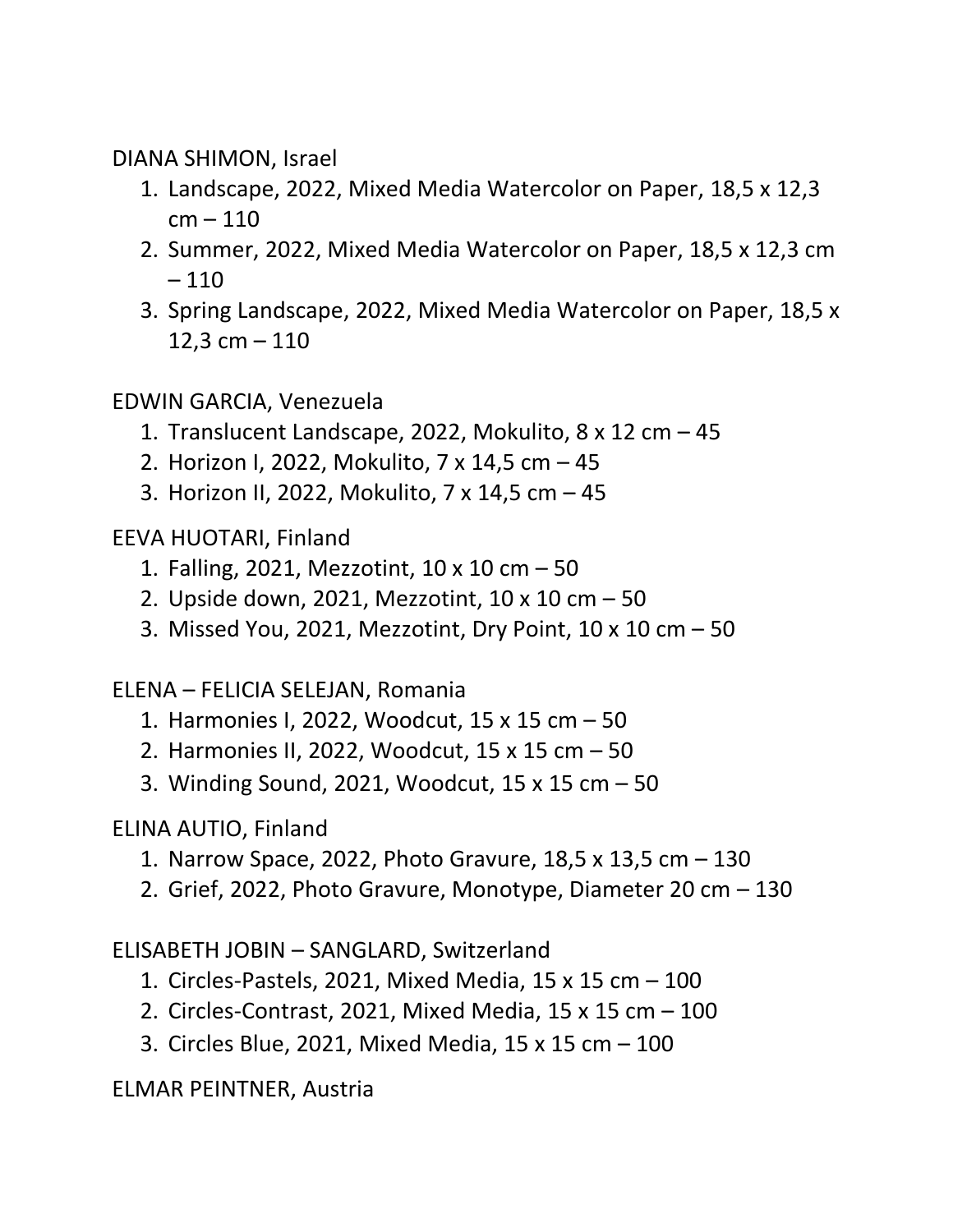DIANA SHIMON, Israel

- 1. Landscape, 2022, Mixed Media Watercolor on Paper, 18,5 x 12,3  $cm - 110$
- 2. Summer, 2022, Mixed Media Watercolor on Paper, 18,5 x 12,3 cm – 110
- 3. Spring Landscape, 2022, Mixed Media Watercolor on Paper, 18,5 x 12,3 cm  $-110$

EDWIN GARCIA, Venezuela

- 1. Translucent Landscape, 2022, Mokulito, 8 x 12 cm 45
- 2. Horizon I, 2022, Mokulito, 7 x 14,5 cm 45
- 3. Horizon II, 2022, Mokulito, 7 x 14,5 cm 45

EEVA HUOTARI, Finland

- 1. Falling, 2021, Mezzotint, 10 x 10 cm 50
- 2. Upside down, 2021, Mezzotint, 10 x 10 cm 50
- 3. Missed You, 2021, Mezzotint, Dry Point, 10 x 10 cm 50

ELENA – FELICIA SELEJAN, Romania

- 1. Harmonies I, 2022, Woodcut, 15 x 15 cm 50
- 2. Harmonies II, 2022, Woodcut, 15 x 15 cm 50
- 3. Winding Sound, 2021, Woodcut, 15 x 15 cm 50

# ELINA AUTIO, Finland

- 1. Narrow Space, 2022, Photo Gravure, 18,5 x 13,5 cm 130
- 2. Grief, 2022, Photo Gravure, Monotype, Diameter 20 cm 130

ELISABETH JOBIN – SANGLARD, Switzerland

- 1. Circles-Pastels, 2021, Mixed Media, 15 x 15 cm 100
- 2. Circles-Contrast, 2021, Mixed Media, 15 x 15 cm 100
- 3. Circles Blue, 2021, Mixed Media, 15 x 15 cm 100

ELMAR PEINTNER, Austria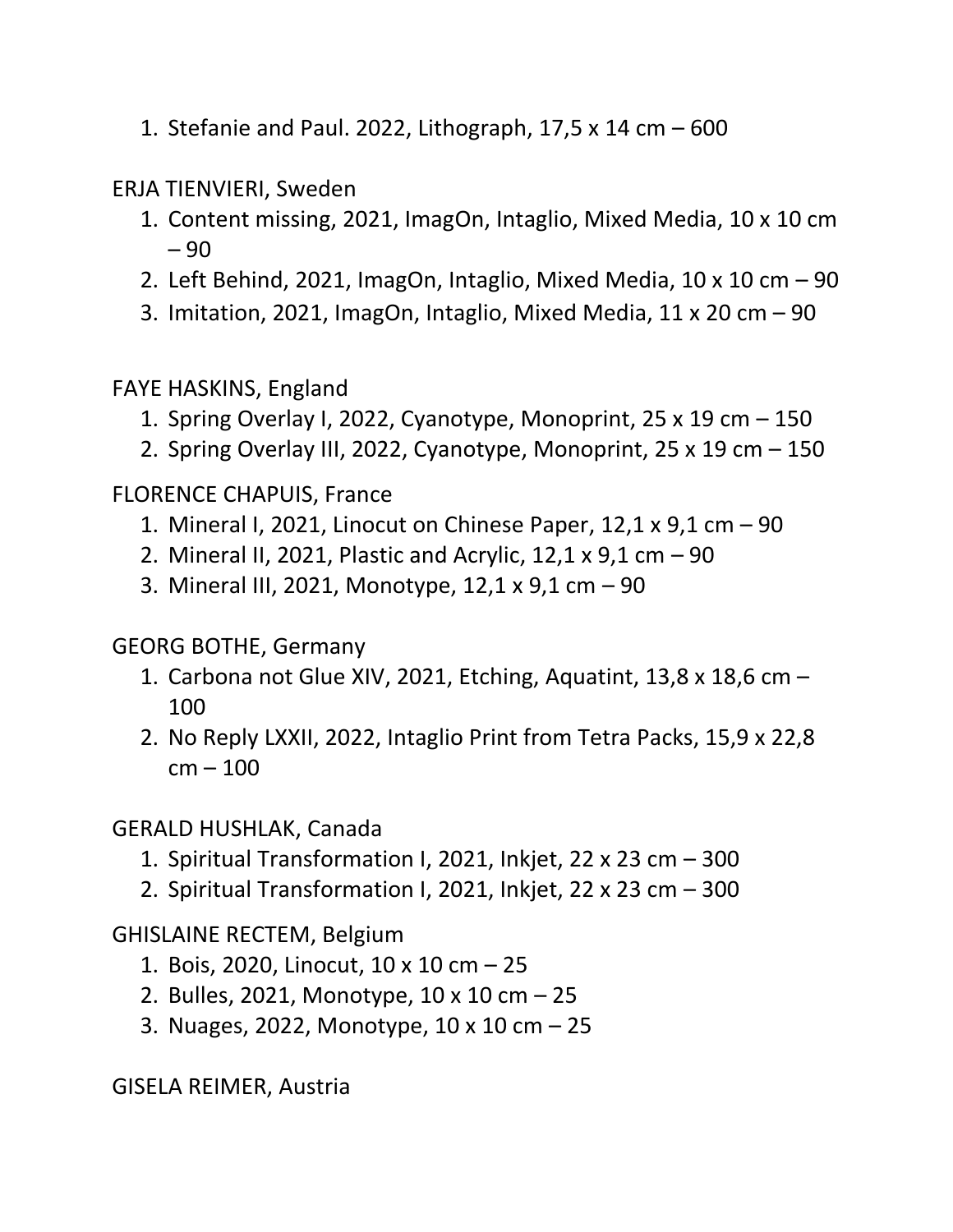1. Stefanie and Paul. 2022, Lithograph, 17,5 x 14 cm – 600

ERJA TIENVIERI, Sweden

- 1. Content missing, 2021, ImagOn, Intaglio, Mixed Media, 10 x 10 cm – 90
- 2. Left Behind, 2021, ImagOn, Intaglio, Mixed Media, 10 x 10 cm 90
- 3. Imitation, 2021, ImagOn, Intaglio, Mixed Media,  $11 \times 20$  cm  $-90$

FAYE HASKINS, England

- 1. Spring Overlay I, 2022, Cyanotype, Monoprint, 25 x 19 cm 150
- 2. Spring Overlay III, 2022, Cyanotype, Monoprint, 25 x 19 cm 150

FLORENCE CHAPUIS, France

- 1. Mineral I, 2021, Linocut on Chinese Paper, 12,1 x 9,1 cm 90
- 2. Mineral II, 2021, Plastic and Acrylic, 12,1 x 9,1 cm 90
- 3. Mineral III, 2021, Monotype, 12,1 x 9,1 cm 90

GEORG BOTHE, Germany

- 1. Carbona not Glue XIV, 2021, Etching, Aquatint, 13,8 x 18,6 cm 100
- 2. No Reply LXXII, 2022, Intaglio Print from Tetra Packs, 15,9 x 22,8 cm – 100

GERALD HUSHLAK, Canada

- 1. Spiritual Transformation I, 2021, Inkjet, 22 x 23 cm 300
- 2. Spiritual Transformation I, 2021, Inkjet, 22 x 23 cm 300

GHISLAINE RECTEM, Belgium

- 1. Bois, 2020, Linocut, 10 x 10 cm 25
- 2. Bulles, 2021, Monotype, 10 x 10 cm 25
- 3. Nuages, 2022, Monotype, 10 x 10 cm 25

GISELA REIMER, Austria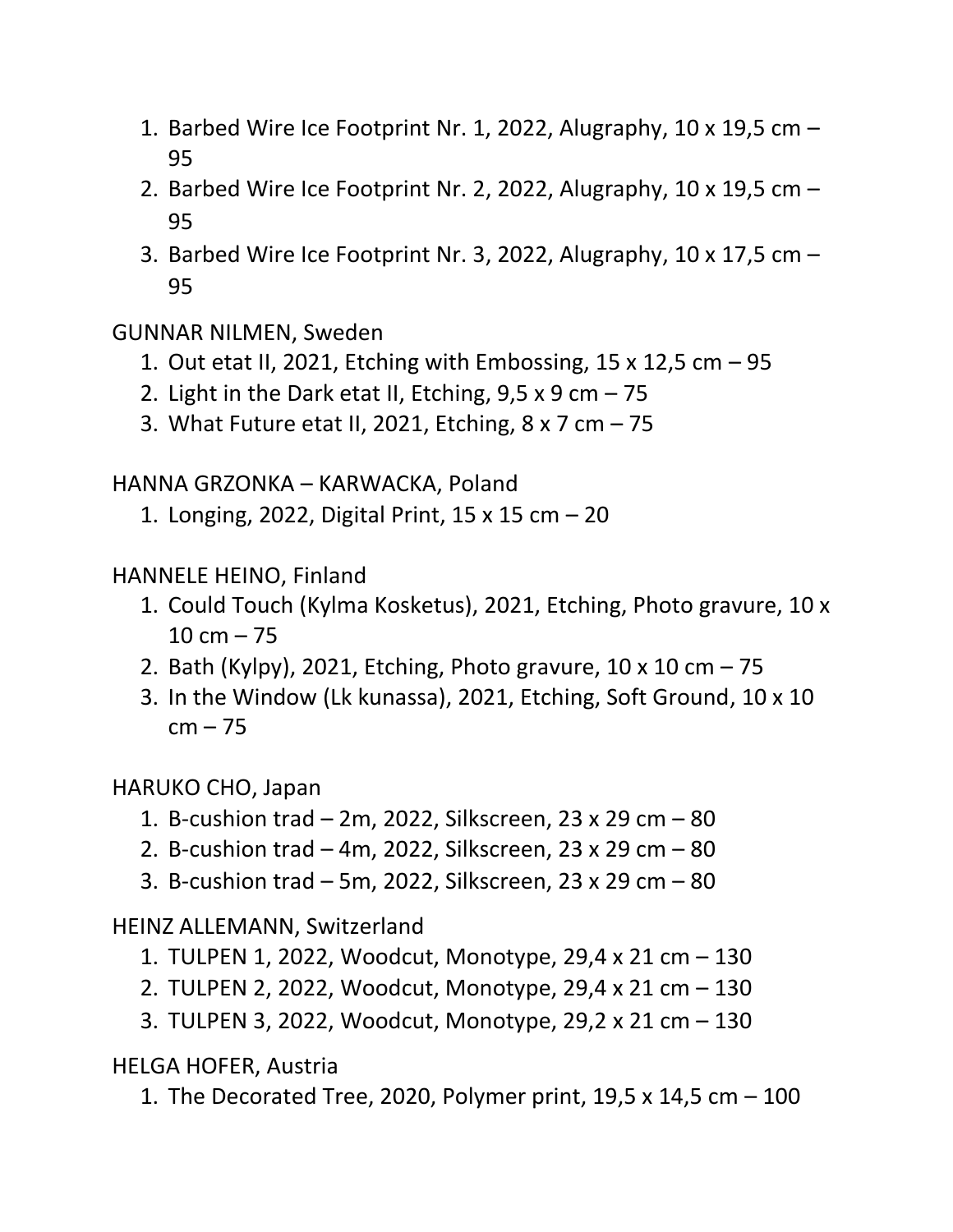- 1. Barbed Wire Ice Footprint Nr. 1, 2022, Alugraphy, 10 x 19,5 cm 95
- 2. Barbed Wire Ice Footprint Nr. 2, 2022, Alugraphy, 10 x 19,5 cm 95
- 3. Barbed Wire Ice Footprint Nr. 3, 2022, Alugraphy, 10 x 17,5 cm 95

GUNNAR NILMEN, Sweden

- 1. Out etat II, 2021, Etching with Embossing, 15 x 12,5 cm 95
- 2. Light in the Dark etat II, Etching,  $9.5 \times 9$  cm  $-75$
- 3. What Future etat II, 2021, Etching, 8 x 7 cm 75

HANNA GRZONKA – KARWACKA, Poland

1. Longing, 2022, Digital Print, 15 x 15 cm – 20

HANNELE HEINO, Finland

- 1. Could Touch (Kylma Kosketus), 2021, Etching, Photo gravure, 10 x  $10 cm - 75$
- 2. Bath (Kylpy), 2021, Etching, Photo gravure, 10 x 10 cm 75
- 3. In the Window (Lk kunassa), 2021, Etching, Soft Ground, 10 x 10  $cm - 75$

HARUKO CHO, Japan

- 1. B-cushion trad 2m, 2022, Silkscreen, 23 x 29 cm 80
- 2. B-cushion trad 4m, 2022, Silkscreen, 23 x 29 cm 80
- 3. B-cushion trad 5m, 2022, Silkscreen, 23 x 29 cm 80

HEINZ ALLEMANN, Switzerland

- 1. TULPEN 1, 2022, Woodcut, Monotype, 29,4 x 21 cm 130
- 2. TULPEN 2, 2022, Woodcut, Monotype, 29,4 x 21 cm 130
- 3. TULPEN 3, 2022, Woodcut, Monotype, 29,2 x 21 cm 130

HELGA HOFER, Austria

1. The Decorated Tree, 2020, Polymer print, 19,5 x 14,5 cm – 100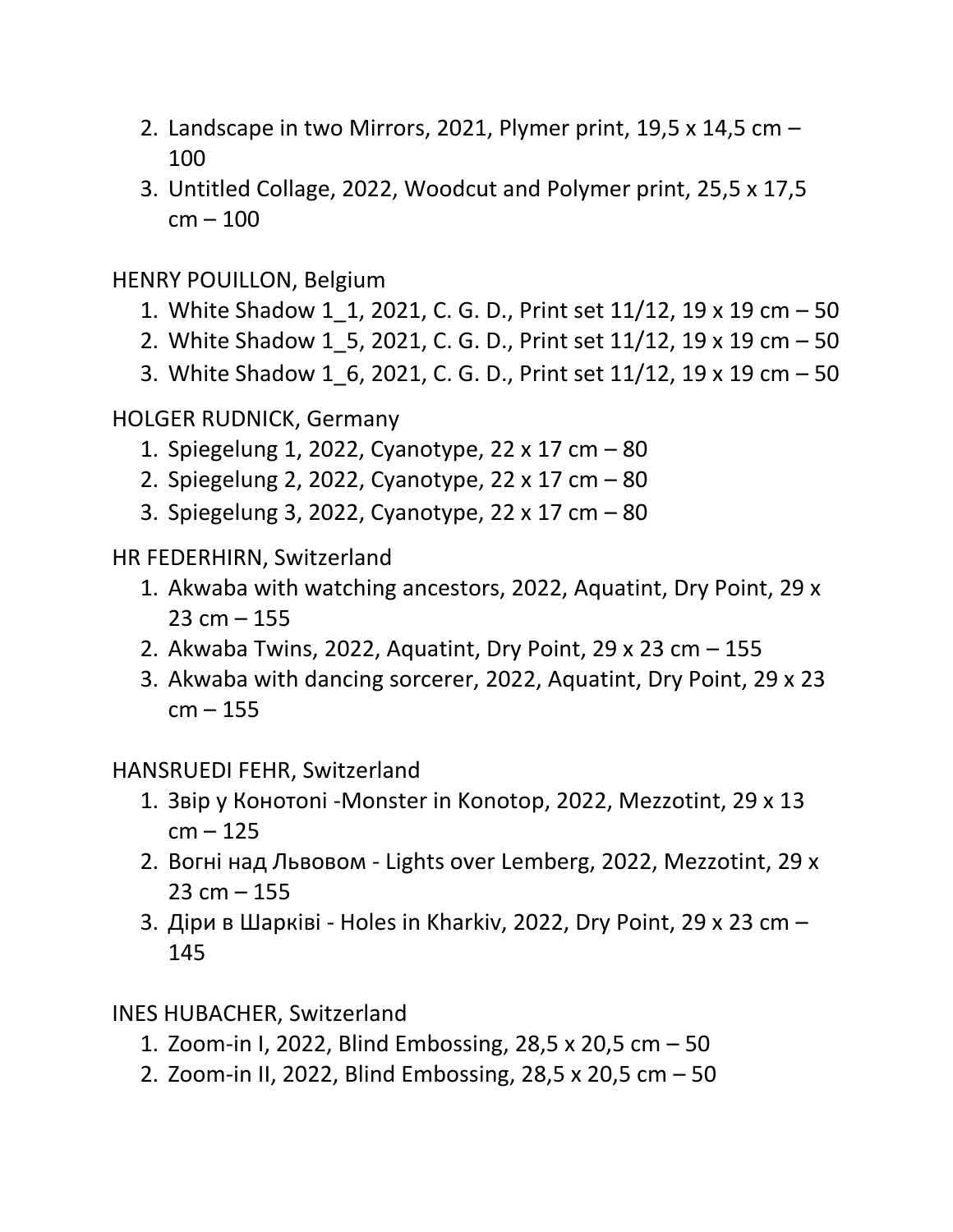- 2. Landscape in two Mirrors, 2021, Plymer print, 19,5 x 14,5 cm 100
- 3. Untitled Collage, 2022, Woodcut and Polymer print, 25,5 x 17,5 cm – 100

HENRY POUILLON, Belgium

- 1. White Shadow 1\_1, 2021, C. G. D., Print set 11/12, 19 x 19 cm 50
- 2. White Shadow 1\_5, 2021, C. G. D., Print set 11/12, 19 x 19 cm 50
- 3. White Shadow 1\_6, 2021, C. G. D., Print set 11/12, 19 x 19 cm 50

HOLGER RUDNICK, Germany

- 1. Spiegelung 1, 2022, Cyanotype, 22 x 17 cm 80
- 2. Spiegelung 2, 2022, Cyanotype, 22 x 17 cm 80
- 3. Spiegelung 3, 2022, Cyanotype, 22 x 17 cm 80

HR FEDERHIRN, Switzerland

- 1. Akwaba with watching ancestors, 2022, Aquatint, Dry Point, 29 x  $23 cm - 155$
- 2. Akwaba Twins, 2022, Aquatint, Dry Point, 29 x 23 cm 155
- 3. Akwaba with dancing sorcerer, 2022, Aquatint, Dry Point, 29 x 23  $cm - 155$

HANSRUEDI FEHR, Switzerland

- 1. Звiр у Конотоni -Monster in Konotop, 2022, Mezzotint, 29 x 13  $cm - 125$
- 2. Вогнi над Львовом Lights over Lemberg, 2022, Mezzotint, 29 x  $23 cm - 155$
- 3. Дiри в Шаркiвi Holes in Kharkiv, 2022, Dry Point, 29 x 23 cm 145

INES HUBACHER, Switzerland

- 1. Zoom-in I, 2022, Blind Embossing, 28,5 x 20,5 cm 50
- 2. Zoom-in II, 2022, Blind Embossing, 28,5 x 20,5 cm 50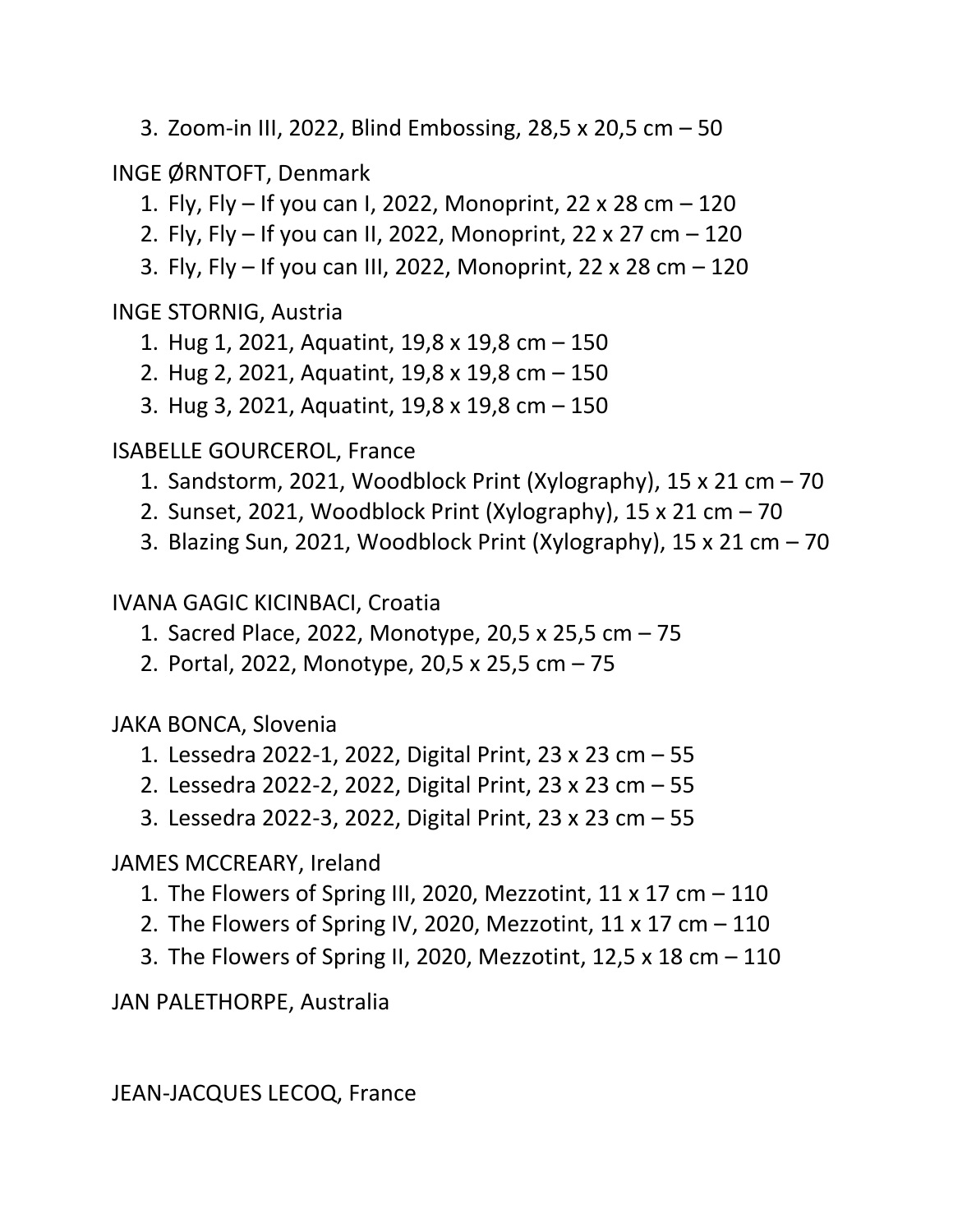3. Zoom-in III, 2022, Blind Embossing, 28,5 x 20,5 cm – 50

INGE ØRNTOFT, Denmark

- 1. Fly, Fly If you can I, 2022, Monoprint, 22 x 28 cm 120
- 2. Fly, Fly If you can II, 2022, Monoprint, 22 x 27 cm 120
- 3. Fly, Fly If you can III, 2022, Monoprint, 22 x 28 cm 120

INGE STORNIG, Austria

- 1. Hug 1, 2021, Aquatint, 19,8 x 19,8 cm 150
- 2. Hug 2, 2021, Aquatint, 19,8 x 19,8 cm 150
- 3. Hug 3, 2021, Aquatint, 19,8 x 19,8 cm 150

ISABELLE GOURCEROL, France

- 1. Sandstorm, 2021, Woodblock Print (Xylography), 15 x 21 cm 70
- 2. Sunset, 2021, Woodblock Print (Xylography), 15 x 21 cm 70
- 3. Blazing Sun, 2021, Woodblock Print (Xylography), 15 x 21 cm 70

IVANA GAGIC KICINBACI, Croatia

- 1. Sacred Place, 2022, Monotype, 20,5 x 25,5 cm 75
- 2. Portal, 2022, Monotype, 20,5 x 25,5 cm 75

JAKA BONCA, Slovenia

- 1. Lessedra 2022-1, 2022, Digital Print, 23 x 23 cm 55
- 2. Lessedra 2022-2, 2022, Digital Print, 23 x 23 cm 55
- 3. Lessedra 2022-3, 2022, Digital Print, 23 x 23 cm 55

JAMES MCCREARY, Ireland

- 1. The Flowers of Spring III, 2020, Mezzotint,  $11 \times 17$  cm  $-110$
- 2. The Flowers of Spring IV, 2020, Mezzotint,  $11 \times 17$  cm  $-110$
- 3. The Flowers of Spring II, 2020, Mezzotint, 12,5 x 18 cm 110

JAN PALETHORPE, Australia

JEAN-JACQUES LECOQ, France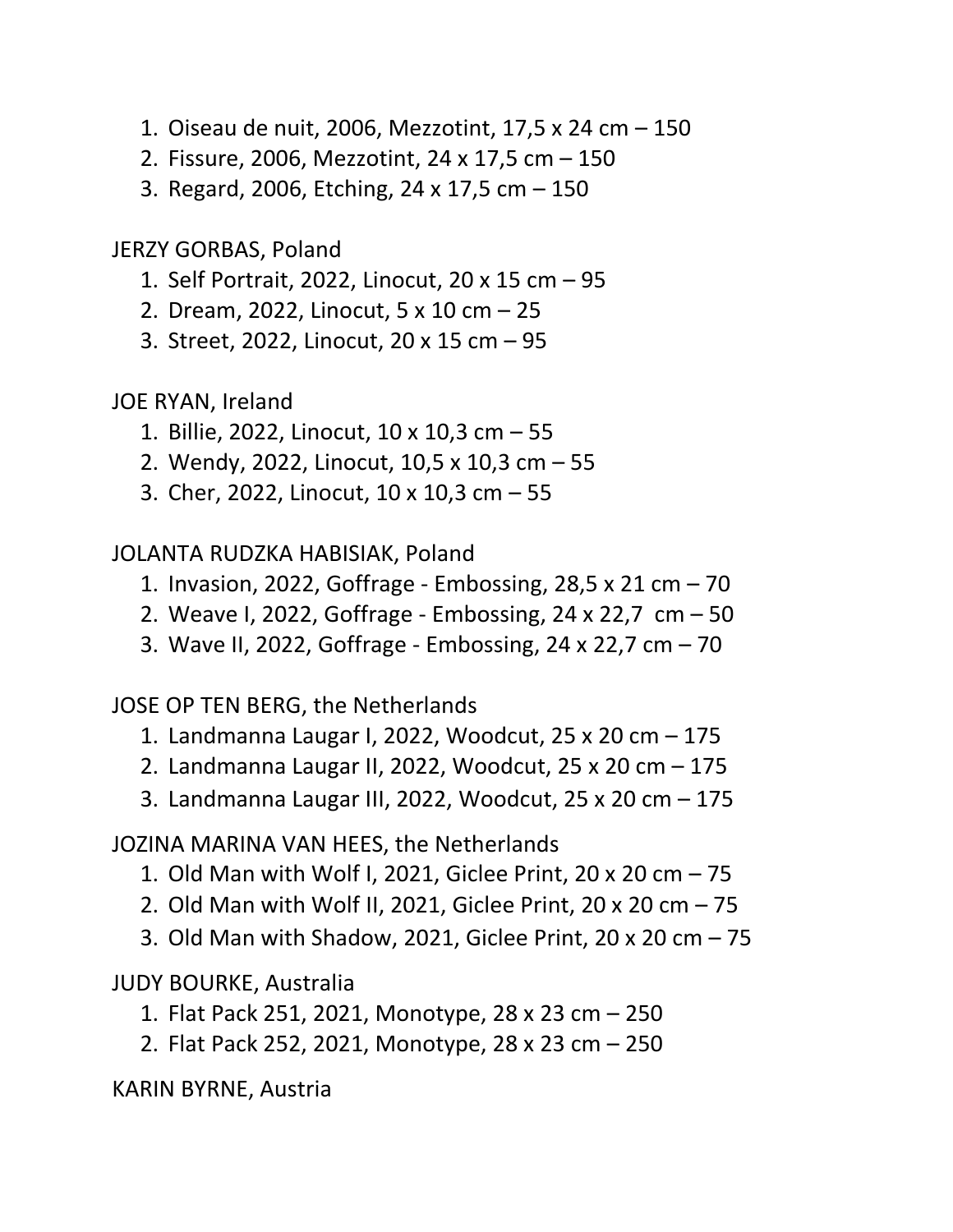- 1. Oiseau de nuit, 2006, Mezzotint, 17,5 x 24 cm 150
- 2. Fissure, 2006, Mezzotint, 24 x 17,5 cm 150
- 3. Regard, 2006, Etching, 24 x 17,5 cm 150

JERZY GORBAS, Poland

- 1. Self Portrait, 2022, Linocut, 20 x 15 cm 95
- 2. Dream, 2022, Linocut, 5 x 10 cm 25
- 3. Street, 2022, Linocut, 20 x 15 cm 95

JOE RYAN, Ireland

- 1. Billie, 2022, Linocut, 10 x 10,3 cm 55
- 2. Wendy, 2022, Linocut, 10,5 x 10,3 cm 55
- 3. Cher, 2022, Linocut, 10 x 10,3 cm 55

JOLANTA RUDZKA HABISIAK, Poland

- 1. Invasion, 2022, Goffrage Embossing, 28,5 x 21 cm 70
- 2. Weave I, 2022, Goffrage Embossing, 24 x 22,7 cm 50
- 3. Wave II, 2022, Goffrage Embossing, 24 x 22,7 cm 70

JOSE OP TEN BERG, the Netherlands

- 1. Landmanna Laugar I, 2022, Woodcut, 25 x 20 cm 175
- 2. Landmanna Laugar II, 2022, Woodcut, 25 x 20 cm 175
- 3. Landmanna Laugar III, 2022, Woodcut, 25 x 20 cm 175

JOZINA MARINA VAN HEES, the Netherlands

- 1. Old Man with Wolf I, 2021, Giclee Print, 20 x 20 cm 75
- 2. Old Man with Wolf II, 2021, Giclee Print, 20 x 20 cm 75
- 3. Old Man with Shadow, 2021, Giclee Print, 20 x 20 cm 75

JUDY BOURKE, Australia

- 1. Flat Pack 251, 2021, Monotype, 28 x 23 cm 250
- 2. Flat Pack 252, 2021, Monotype, 28 x 23 cm 250

KARIN BYRNE, Austria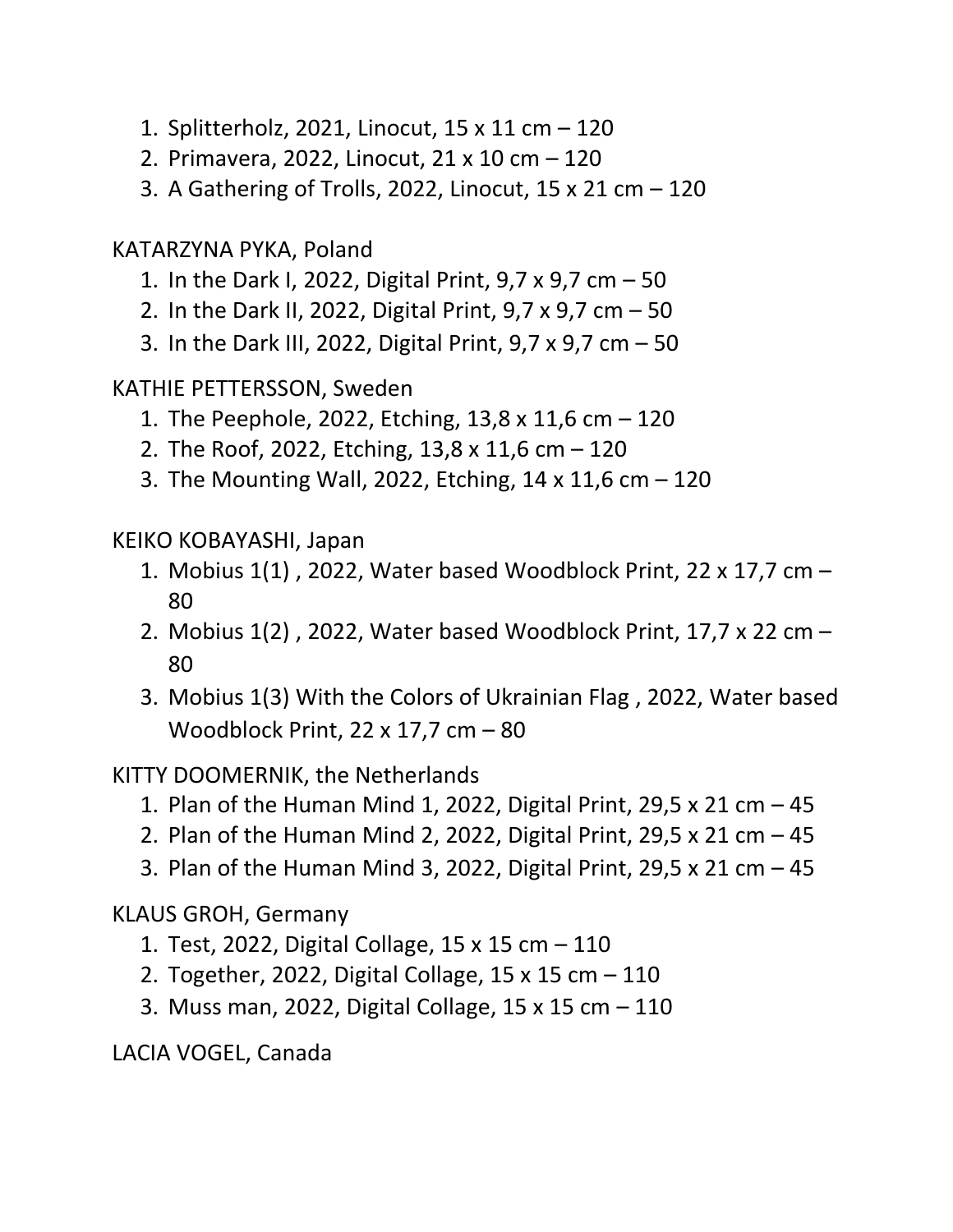- 1. Splitterholz, 2021, Linocut, 15 x 11 cm 120
- 2. Primavera, 2022, Linocut, 21 x 10 cm 120
- 3. A Gathering of Trolls, 2022, Linocut, 15 x 21 cm 120

KATARZYNA PYKA, Poland

- 1. In the Dark I, 2022, Digital Print, 9,7 x 9,7 cm 50
- 2. In the Dark II, 2022, Digital Print, 9,7 x 9,7 cm 50
- 3. In the Dark III, 2022, Digital Print, 9,7 x 9,7 cm 50

KATHIE PETTERSSON, Sweden

- 1. The Peephole, 2022, Etching, 13,8 x 11,6 cm 120
- 2. The Roof, 2022, Etching, 13,8 x 11,6 cm 120
- 3. The Mounting Wall, 2022, Etching, 14 x 11,6 cm 120

KEIKO KOBAYASHI, Japan

- 1. Mobius 1(1) , 2022, Water based Woodblock Print, 22 x 17,7 cm 80
- 2. Mobius 1(2) , 2022, Water based Woodblock Print, 17,7 x 22 cm 80
- 3. Mobius 1(3) With the Colors of Ukrainian Flag , 2022, Water based Woodblock Print, 22 x 17,7 cm – 80

KITTY DOOMERNIK, the Netherlands

- 1. Plan of the Human Mind 1, 2022, Digital Print, 29,5 x 21 cm  $-$  45
- 2. Plan of the Human Mind 2, 2022, Digital Print, 29,5 x 21 cm  $-$  45
- 3. Plan of the Human Mind 3, 2022, Digital Print, 29,5 x 21 cm  $-$  45

KLAUS GROH, Germany

- 1. Test, 2022, Digital Collage, 15 x 15 cm 110
- 2. Together, 2022, Digital Collage, 15 x 15 cm 110
- 3. Muss man, 2022, Digital Collage, 15 x 15 cm 110

LACIA VOGEL, Canada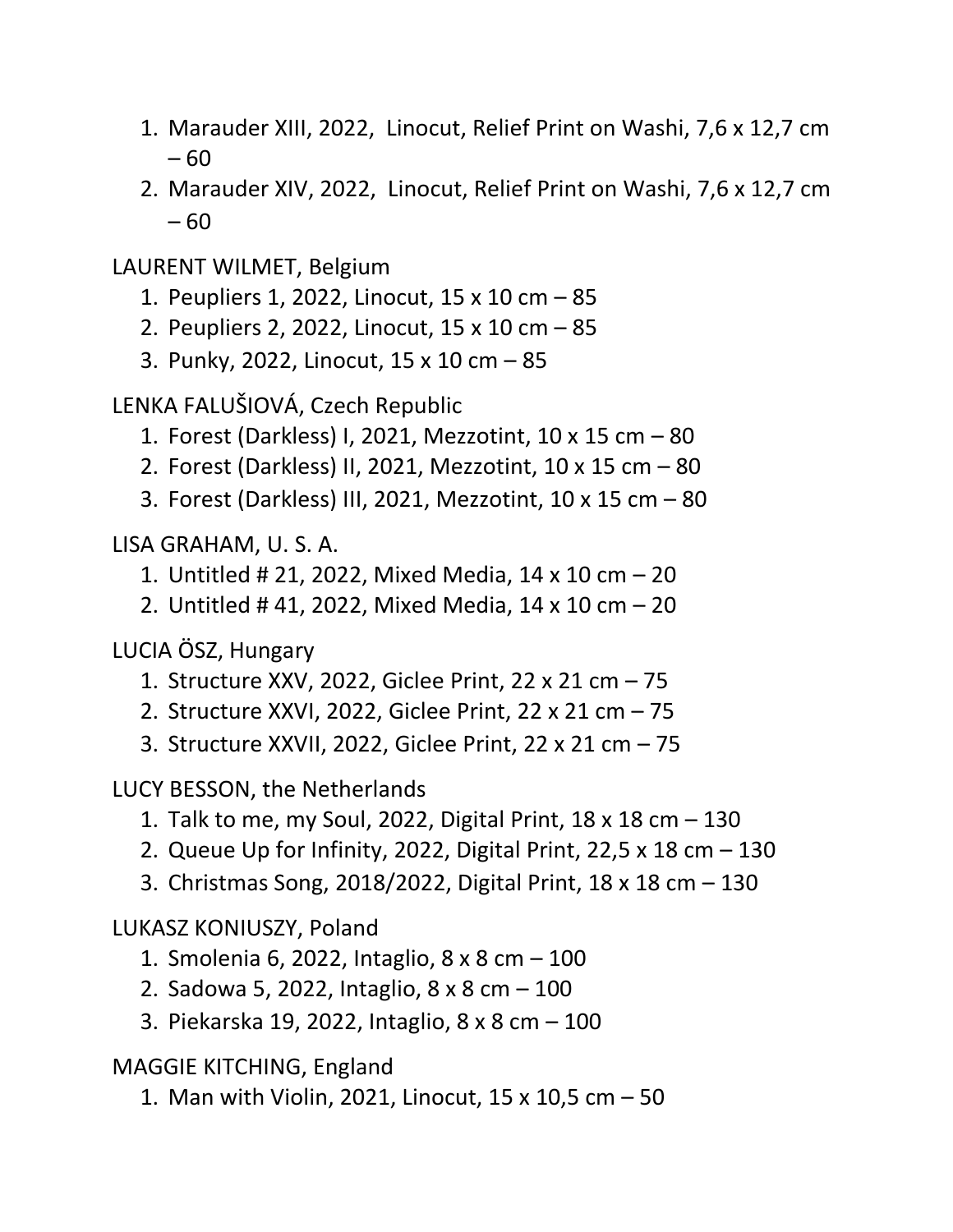- 1. Marauder XIII, 2022, Linocut, Relief Print on Washi, 7,6 x 12,7 cm – 60
- 2. Marauder XIV, 2022, Linocut, Relief Print on Washi, 7,6 x 12,7 cm – 60

LAURENT WILMET, Belgium

- 1. Peupliers 1, 2022, Linocut, 15 x 10 cm 85
- 2. Peupliers 2, 2022, Linocut, 15 x 10 cm 85
- 3. Punky, 2022, Linocut, 15 x 10 cm 85

LENKA FALUŠIOVÁ, Czech Republic

- 1. Forest (Darkless) I, 2021, Mezzotint, 10 x 15 cm 80
- 2. Forest (Darkless) II, 2021, Mezzotint, 10 x 15 cm 80
- 3. Forest (Darkless) III, 2021, Mezzotint, 10 x 15 cm 80

LISA GRAHAM, U. S. A.

- 1. Untitled # 21, 2022, Mixed Media, 14 x 10 cm 20
- 2. Untitled # 41, 2022, Mixed Media, 14 x 10 cm 20

LUCIA ÖSZ, Hungary

- 1. Structure XXV, 2022, Giclee Print, 22 x 21 cm 75
- 2. Structure XXVI, 2022, Giclee Print, 22 x 21 cm 75
- 3. Structure XXVII, 2022, Giclee Print, 22 x 21 cm 75

LUCY BESSON, the Netherlands

- 1. Talk to me, my Soul, 2022, Digital Print, 18 x 18 cm 130
- 2. Queue Up for Infinity, 2022, Digital Print, 22,5 x 18 cm 130
- 3. Christmas Song, 2018/2022, Digital Print, 18 x 18 cm 130

LUKASZ KONIUSZY, Poland

- 1. Smolenia 6, 2022, Intaglio, 8 x 8 cm 100
- 2. Sadowa 5, 2022, Intaglio, 8 x 8 cm 100
- 3. Piekarska 19, 2022, Intaglio, 8 x 8 cm 100

MAGGIE KITCHING, England

1. Man with Violin, 2021, Linocut, 15 x 10,5 cm – 50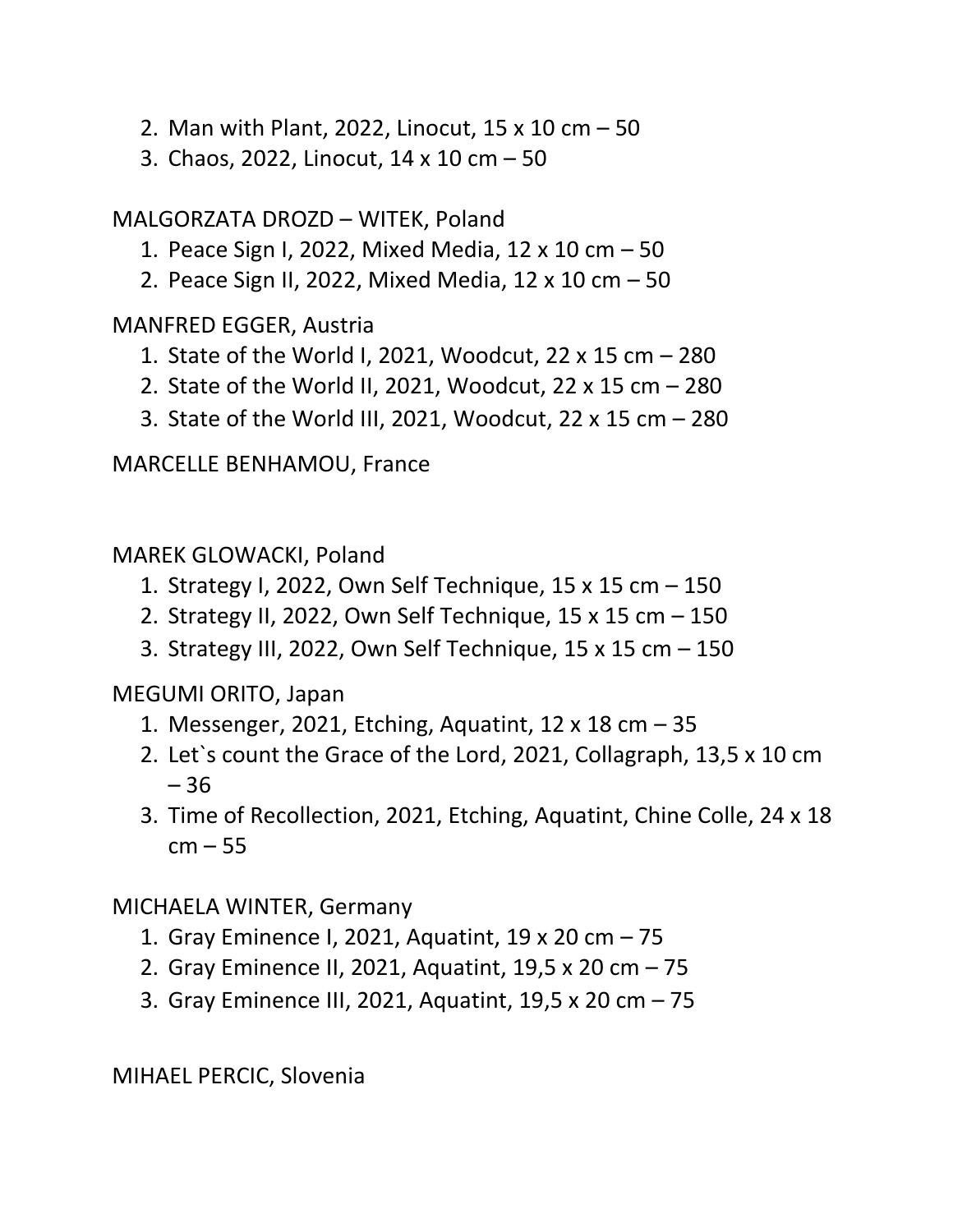- 2. Man with Plant, 2022, Linocut, 15 x 10 cm 50
- 3. Chaos, 2022, Linocut, 14 x 10 cm 50

MALGORZATA DROZD – WITEK, Poland

- 1. Peace Sign I, 2022, Mixed Media, 12 x 10 cm 50
- 2. Peace Sign II, 2022, Mixed Media, 12 x 10 cm 50

MANFRED EGGER, Austria

- 1. State of the World I, 2021, Woodcut, 22 x 15 cm 280
- 2. State of the World II, 2021, Woodcut, 22 x 15 cm 280
- 3. State of the World III, 2021, Woodcut, 22 x 15 cm 280

MARCELLE BENHAMOU, France

MAREK GLOWACKI, Poland

- 1. Strategy I, 2022, Own Self Technique, 15 x 15 cm 150
- 2. Strategy II, 2022, Own Self Technique, 15 x 15 cm 150
- 3. Strategy III, 2022, Own Self Technique, 15 x 15 cm 150

MEGUMI ORITO, Japan

- 1. Messenger, 2021, Etching, Aquatint, 12 x 18 cm 35
- 2. Let`s count the Grace of the Lord, 2021, Collagraph, 13,5 x 10 cm – 36
- 3. Time of Recollection, 2021, Etching, Aquatint, Chine Colle, 24 x 18  $cm - 55$

# MICHAELA WINTER, Germany

- 1. Gray Eminence I, 2021, Aquatint, 19 x 20 cm 75
- 2. Gray Eminence II, 2021, Aquatint, 19,5 x 20 cm 75
- 3. Gray Eminence III, 2021, Aquatint, 19,5 x 20 cm 75

MIHAEL PERCIC, Slovenia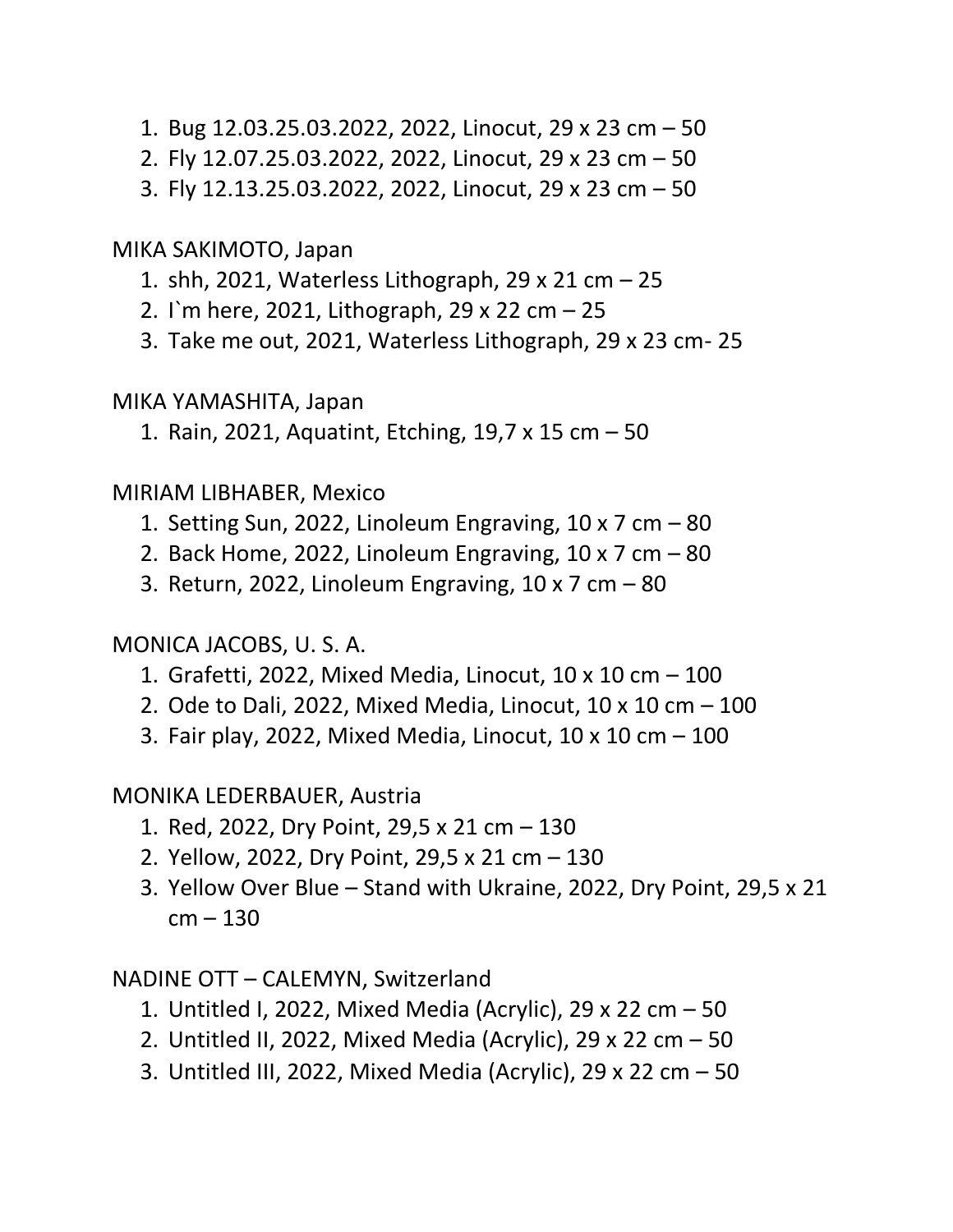- 1. Bug 12.03.25.03.2022, 2022, Linocut, 29 x 23 cm 50
- 2. Fly 12.07.25.03.2022, 2022, Linocut, 29 x 23 cm 50
- 3. Fly 12.13.25.03.2022, 2022, Linocut, 29 x 23 cm 50

MIKA SAKIMOTO, Japan

- 1. shh, 2021, Waterless Lithograph, 29 x 21 cm 25
- 2. I`m here, 2021, Lithograph, 29 x 22 cm 25
- 3. Take me out, 2021, Waterless Lithograph, 29 x 23 cm- 25

MIKA YAMASHITA, Japan

1. Rain, 2021, Aquatint, Etching, 19,7 x 15 cm – 50

#### MIRIAM LIBHABER, Mexico

- 1. Setting Sun, 2022, Linoleum Engraving,  $10 \times 7$  cm  $-80$
- 2. Back Home, 2022, Linoleum Engraving,  $10 \times 7$  cm  $-80$
- 3. Return, 2022, Linoleum Engraving, 10 x 7 cm 80

MONICA JACOBS, U. S. A.

- 1. Grafetti, 2022, Mixed Media, Linocut, 10 x 10 cm 100
- 2. Ode to Dali, 2022, Mixed Media, Linocut,  $10 \times 10$  cm  $-100$
- 3. Fair play, 2022, Mixed Media, Linocut, 10 x 10 cm 100

MONIKA LEDERBAUER, Austria

- 1. Red, 2022, Dry Point, 29,5 x 21 cm 130
- 2. Yellow, 2022, Dry Point, 29,5 x 21 cm 130
- 3. Yellow Over Blue Stand with Ukraine, 2022, Dry Point, 29,5 x 21  $cm - 130$

NADINE OTT – CALEMYN, Switzerland

- 1. Untitled I, 2022, Mixed Media (Acrylic), 29 x 22 cm 50
- 2. Untitled II, 2022, Mixed Media (Acrylic), 29 x 22 cm 50
- 3. Untitled III, 2022, Mixed Media (Acrylic), 29 x 22 cm 50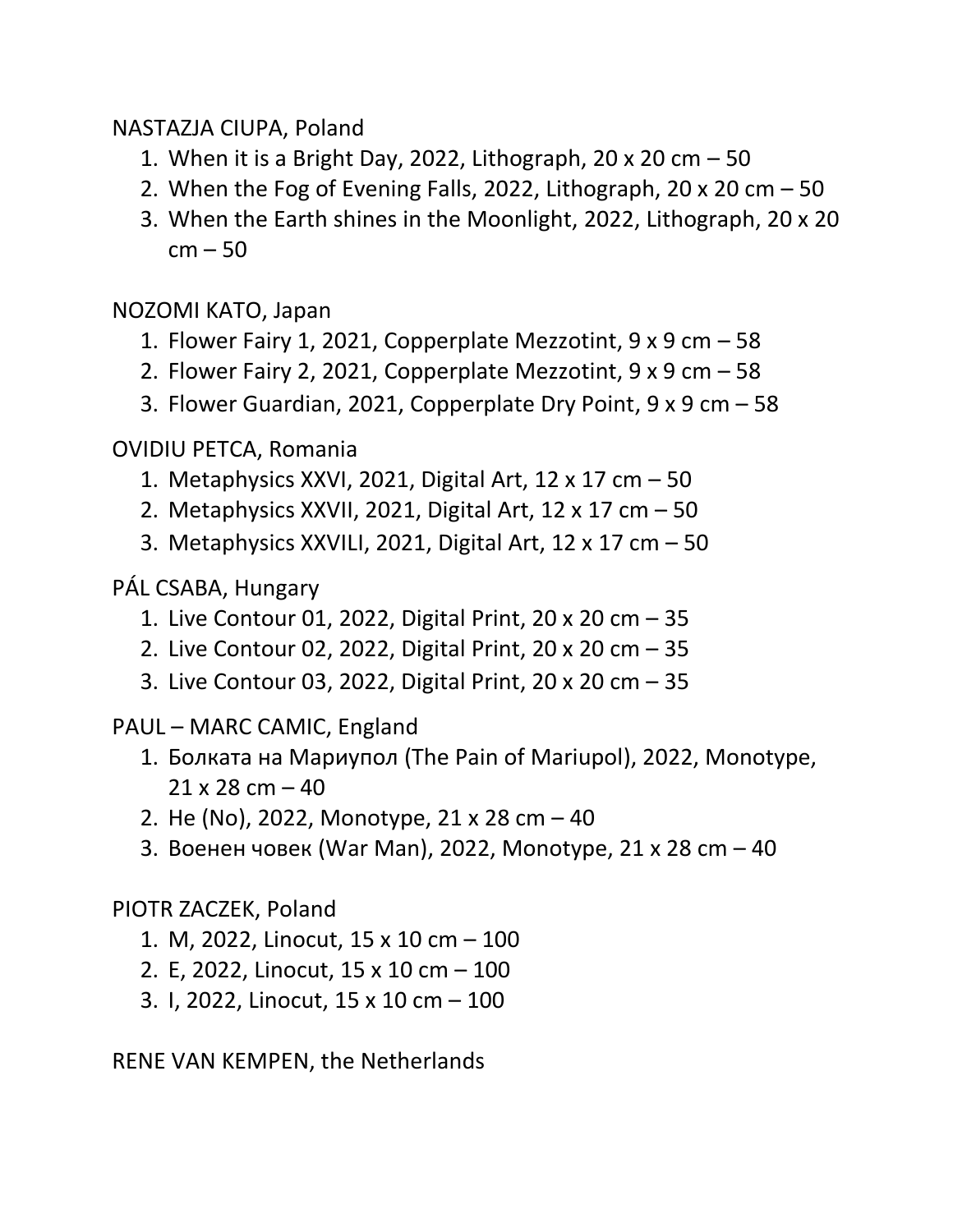NASTAZJA CIUPA, Poland

- 1. When it is a Bright Day, 2022, Lithograph, 20 x 20 cm  $-50$
- 2. When the Fog of Evening Falls, 2022, Lithograph, 20 x 20 cm 50
- 3. When the Earth shines in the Moonlight, 2022, Lithograph, 20 x 20 cm – 50

NOZOMI KATO, Japan

- 1. Flower Fairy 1, 2021, Copperplate Mezzotint, 9 x 9 cm 58
- 2. Flower Fairy 2, 2021, Copperplate Mezzotint, 9 x 9 cm 58
- 3. Flower Guardian, 2021, Copperplate Dry Point, 9 x 9 cm 58

OVIDIU PETCA, Romania

- 1. Metaphysics XXVI, 2021, Digital Art, 12 x 17 cm 50
- 2. Metaphysics XXVII, 2021, Digital Art, 12 x 17 cm 50
- 3. Metaphysics XXVILI, 2021, Digital Art, 12 x 17 cm 50

PÁL CSABA, Hungary

- 1. Live Contour 01, 2022, Digital Print, 20 x 20 cm 35
- 2. Live Contour 02, 2022, Digital Print, 20 x 20 cm 35
- 3. Live Contour 03, 2022, Digital Print, 20 x 20 cm 35

PAUL – MARC CAMIC, England

- 1. Болката на Мариупол (The Pain of Mariupol), 2022, Monotype,  $21 \times 28$  cm  $-40$
- 2. Не (No), 2022, Monotype, 21 x 28 cm 40
- 3. Военен човек (War Man), 2022, Monotype, 21 x 28 cm 40

# PIOTR ZACZEK, Poland

- 1. M, 2022, Linocut, 15 x 10 cm 100
- 2. E, 2022, Linocut, 15 x 10 cm 100
- 3. I, 2022, Linocut, 15 x 10 cm 100

RENE VAN KEMPEN, the Netherlands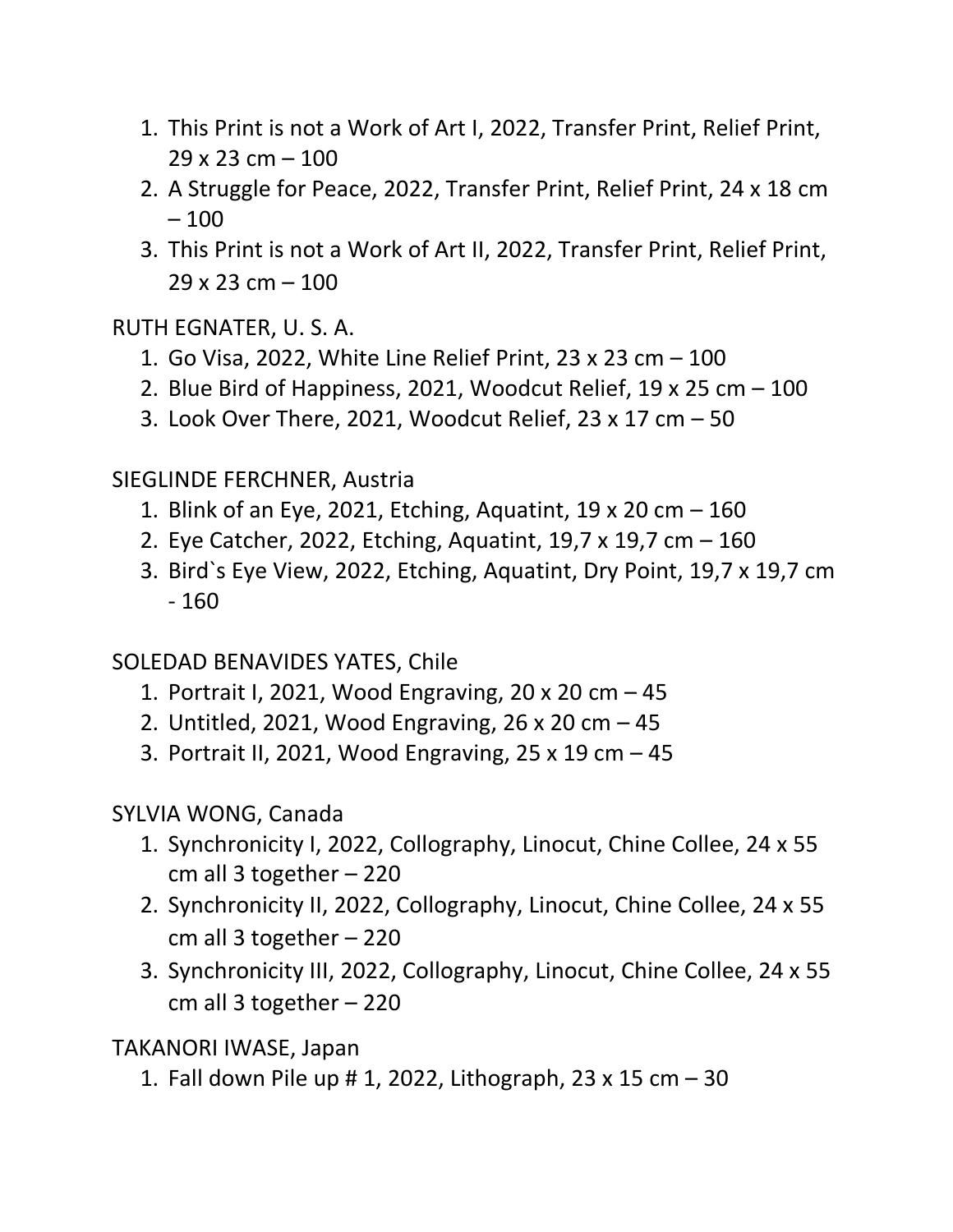- 1. This Print is not a Work of Art I, 2022, Transfer Print, Relief Print,  $29 \times 23$  cm  $- 100$
- 2. A Struggle for Peace, 2022, Transfer Print, Relief Print, 24 x 18 cm  $-100$
- 3. This Print is not a Work of Art II, 2022, Transfer Print, Relief Print,  $29 \times 23$  cm  $- 100$

RUTH EGNATER, U. S. A.

- 1. Go Visa, 2022, White Line Relief Print, 23 x 23 cm 100
- 2. Blue Bird of Happiness, 2021, Woodcut Relief, 19 x 25 cm 100
- 3. Look Over There, 2021, Woodcut Relief, 23 x 17 cm 50

SIEGLINDE FERCHNER, Austria

- 1. Blink of an Eye, 2021, Etching, Aquatint, 19 x 20 cm 160
- 2. Eye Catcher, 2022, Etching, Aquatint, 19,7 x 19,7 cm 160
- 3. Bird`s Eye View, 2022, Etching, Aquatint, Dry Point, 19,7 x 19,7 cm - 160

SOLEDAD BENAVIDES YATES, Chile

- 1. Portrait I, 2021, Wood Engraving, 20 x 20 cm 45
- 2. Untitled, 2021, Wood Engraving, 26 x 20 cm 45
- 3. Portrait II, 2021, Wood Engraving, 25 x 19 cm 45
- SYLVIA WONG, Canada
	- 1. Synchronicity I, 2022, Collography, Linocut, Chine Collee, 24 x 55 cm all 3 together – 220
	- 2. Synchronicity II, 2022, Collography, Linocut, Chine Collee, 24 x 55 cm all 3 together – 220
	- 3. Synchronicity III, 2022, Collography, Linocut, Chine Collee, 24 x 55 cm all 3 together – 220

TAKANORI IWASE, Japan

1. Fall down Pile up # 1, 2022, Lithograph, 23 x 15 cm – 30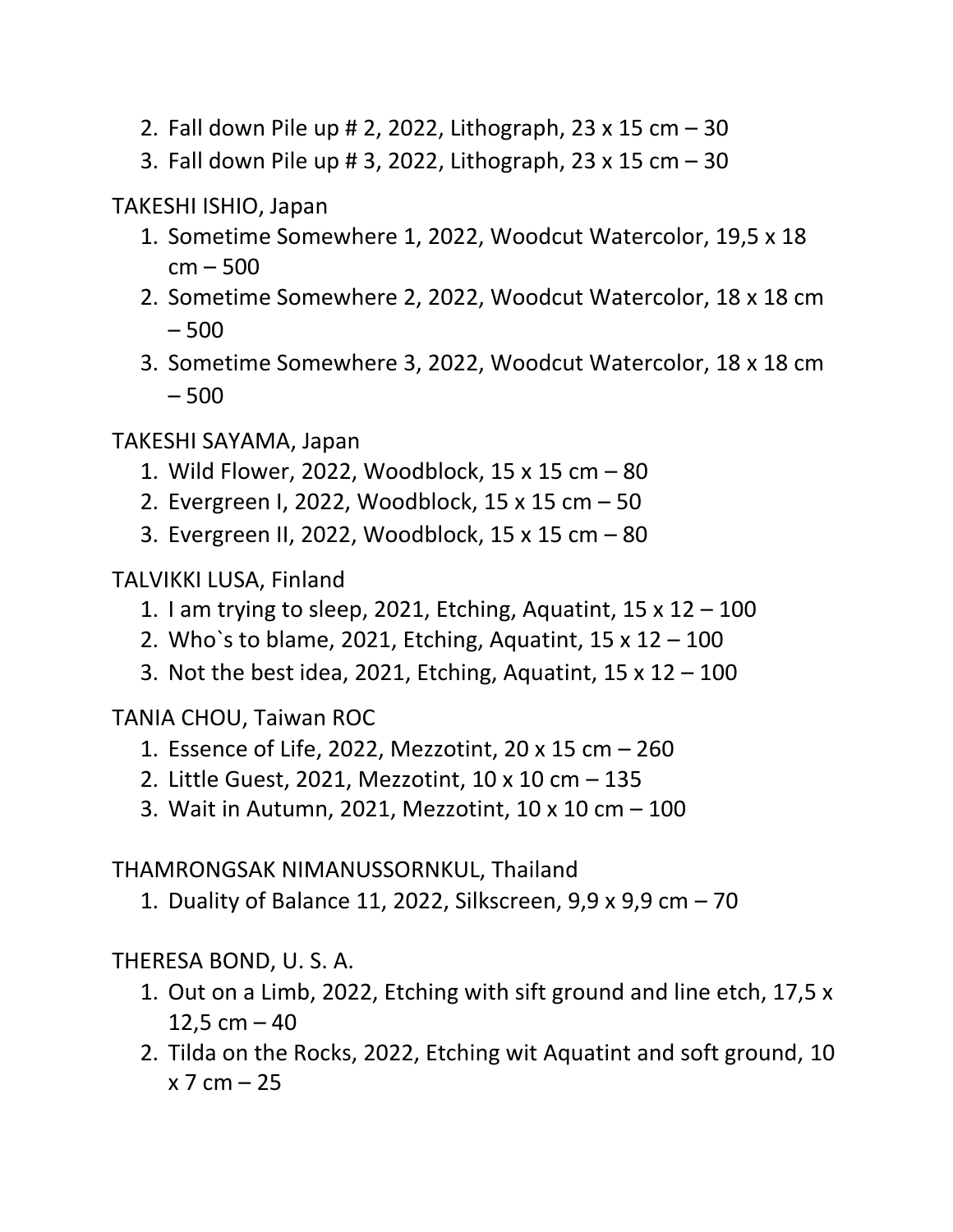- 2. Fall down Pile up # 2, 2022, Lithograph, 23 x 15 cm 30
- 3. Fall down Pile up # 3, 2022, Lithograph, 23 x 15 cm 30

TAKESHI ISHIO, Japan

- 1. Sometime Somewhere 1, 2022, Woodcut Watercolor, 19,5 x 18 cm – 500
- 2. Sometime Somewhere 2, 2022, Woodcut Watercolor, 18 x 18 cm – 500
- 3. Sometime Somewhere 3, 2022, Woodcut Watercolor, 18 x 18 cm – 500

TAKESHI SAYAMA, Japan

- 1. Wild Flower, 2022, Woodblock, 15 x 15 cm 80
- 2. Evergreen I, 2022, Woodblock, 15 x 15 cm 50
- 3. Evergreen II, 2022, Woodblock, 15 x 15 cm 80

TALVIKKI LUSA, Finland

- 1. I am trying to sleep, 2021, Etching, Aquatint,  $15 \times 12 100$
- 2. Who's to blame, 2021, Etching, Aquatint,  $15 \times 12 100$
- 3. Not the best idea, 2021, Etching, Aquatint,  $15 \times 12 100$

TANIA CHOU, Taiwan ROC

- 1. Essence of Life, 2022, Mezzotint, 20 x 15 cm 260
- 2. Little Guest, 2021, Mezzotint, 10 x 10 cm 135
- 3. Wait in Autumn, 2021, Mezzotint, 10 x 10 cm 100

THAMRONGSAK NIMANUSSORNKUL, Thailand

1. Duality of Balance 11, 2022, Silkscreen, 9,9 x 9,9 cm – 70

THERESA BOND, U. S. A.

- 1. Out on a Limb, 2022, Etching with sift ground and line etch, 17,5 x 12,5 cm  $-40$
- 2. Tilda on the Rocks, 2022, Etching wit Aquatint and soft ground, 10  $x 7 cm - 25$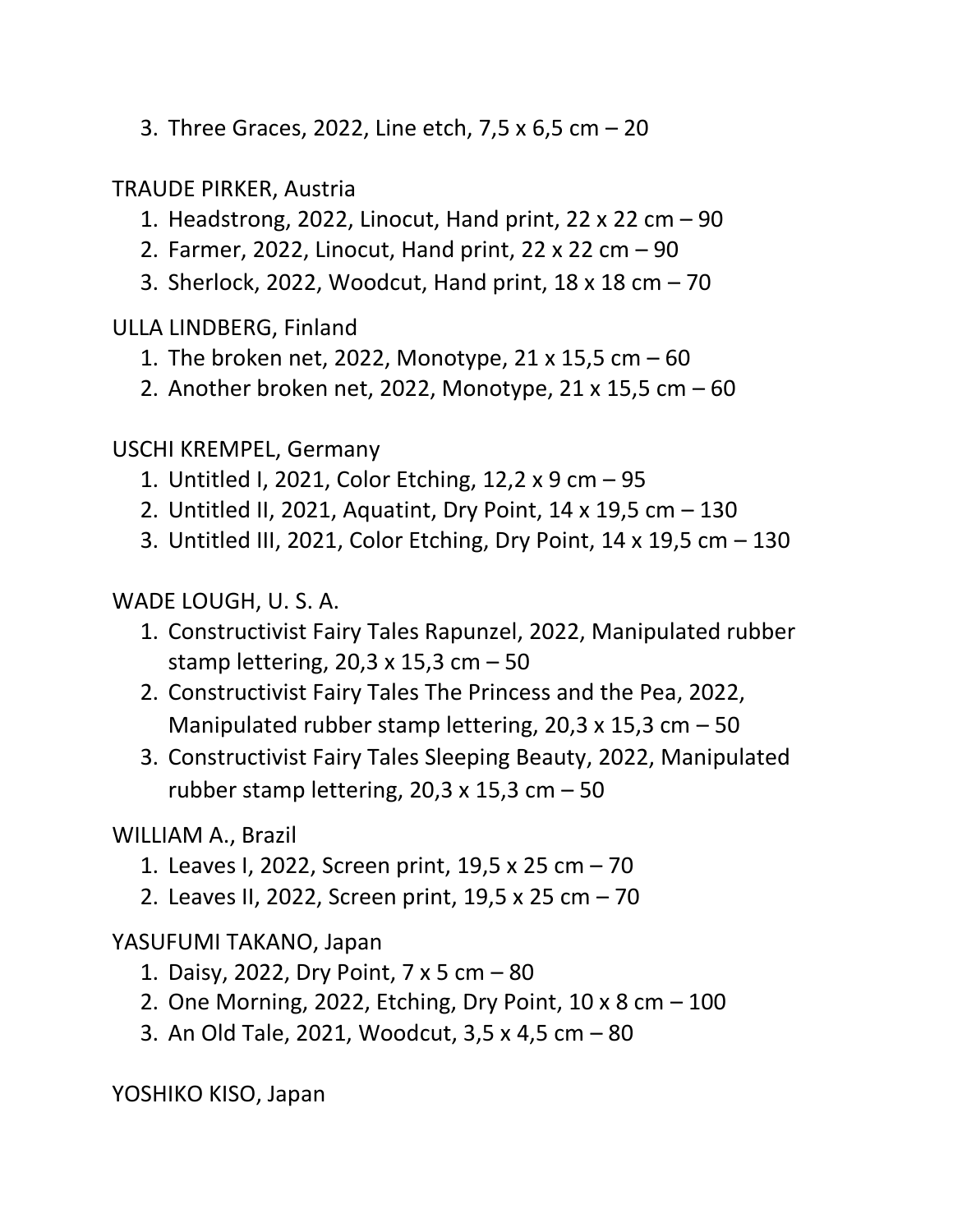3. Three Graces, 2022, Line etch, 7,5 x 6,5 cm – 20

TRAUDE PIRKER, Austria

- 1. Headstrong, 2022, Linocut, Hand print, 22 x 22 cm 90
- 2. Farmer, 2022, Linocut, Hand print, 22 x 22 cm 90
- 3. Sherlock, 2022, Woodcut, Hand print, 18 x 18 cm 70

ULLA LINDBERG, Finland

- 1. The broken net, 2022, Monotype, 21 x 15,5 cm 60
- 2. Another broken net, 2022, Monotype, 21 x 15,5 cm 60

USCHI KREMPEL, Germany

- 1. Untitled I, 2021, Color Etching, 12,2 x 9 cm 95
- 2. Untitled II, 2021, Aquatint, Dry Point, 14 x 19,5 cm 130
- 3. Untitled III, 2021, Color Etching, Dry Point, 14 x 19,5 cm 130

WADE LOUGH, U. S. A.

- 1. Constructivist Fairy Tales Rapunzel, 2022, Manipulated rubber stamp lettering, 20,3 x 15,3 cm  $-50$
- 2. Constructivist Fairy Tales The Princess and the Pea, 2022, Manipulated rubber stamp lettering, 20,3 x 15,3 cm  $-50$
- 3. Constructivist Fairy Tales Sleeping Beauty, 2022, Manipulated rubber stamp lettering,  $20.3 \times 15.3$  cm  $-50$

WILLIAM A., Brazil

- 1. Leaves I, 2022, Screen print, 19,5 x 25 cm 70
- 2. Leaves II, 2022, Screen print, 19,5 x 25 cm 70

YASUFUMI TAKANO, Japan

- 1. Daisy, 2022, Dry Point, 7 x 5 cm 80
- 2. One Morning, 2022, Etching, Dry Point, 10 x 8 cm 100
- 3. An Old Tale, 2021, Woodcut, 3,5 x 4,5 cm 80

YOSHIKO KISO, Japan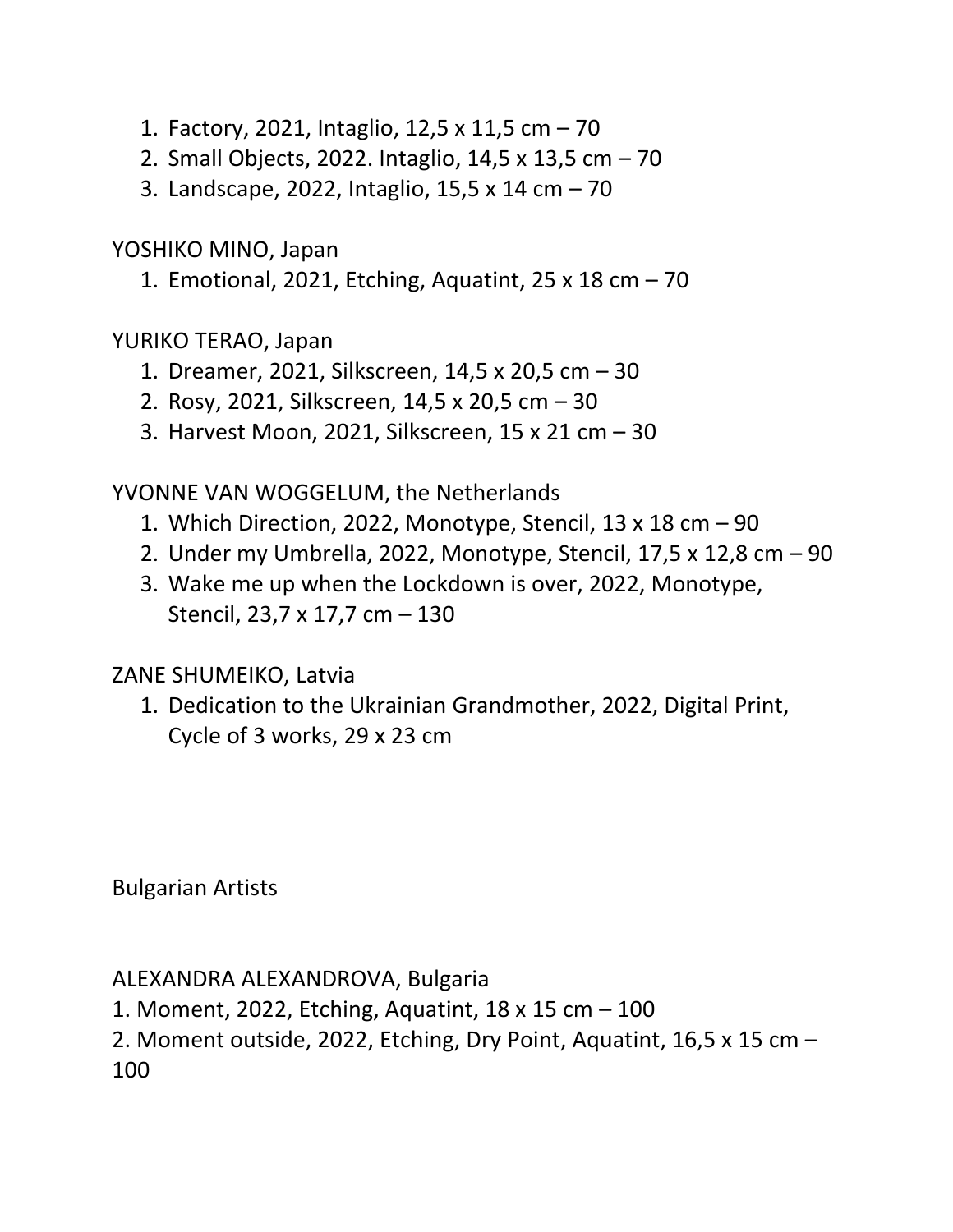- 1. Factory, 2021, Intaglio, 12,5 x 11,5 cm 70
- 2. Small Objects, 2022. Intaglio, 14,5 x 13,5 cm 70
- 3. Landscape, 2022, Intaglio, 15,5 x 14 cm 70

YOSHIKO MINO, Japan

1. Emotional, 2021, Etching, Aquatint, 25 x 18 cm – 70

YURIKO TERAO, Japan

- 1. Dreamer, 2021, Silkscreen, 14,5 x 20,5 cm 30
- 2. Rosy, 2021, Silkscreen, 14,5 x 20,5 cm 30
- 3. Harvest Moon, 2021, Silkscreen, 15 x 21 cm 30

YVONNE VAN WOGGELUM, the Netherlands

- 1. Which Direction, 2022, Monotype, Stencil, 13 x 18 cm 90
- 2. Under my Umbrella, 2022, Monotype, Stencil, 17,5 x 12,8 cm 90
- 3. Wake me up when the Lockdown is over, 2022, Monotype, Stencil, 23,7 x 17,7 cm – 130

ZANE SHUMEIKO, Latvia

1. Dedication to the Ukrainian Grandmother, 2022, Digital Print, Cycle of 3 works, 29 x 23 cm

Bulgarian Artists

ALEXANDRA ALEXANDROVA, Bulgaria

- 1. Moment, 2022, Etching, Aquatint, 18 x 15 cm 100
- 2. Moment outside, 2022, Etching, Dry Point, Aquatint, 16,5 x 15 cm 100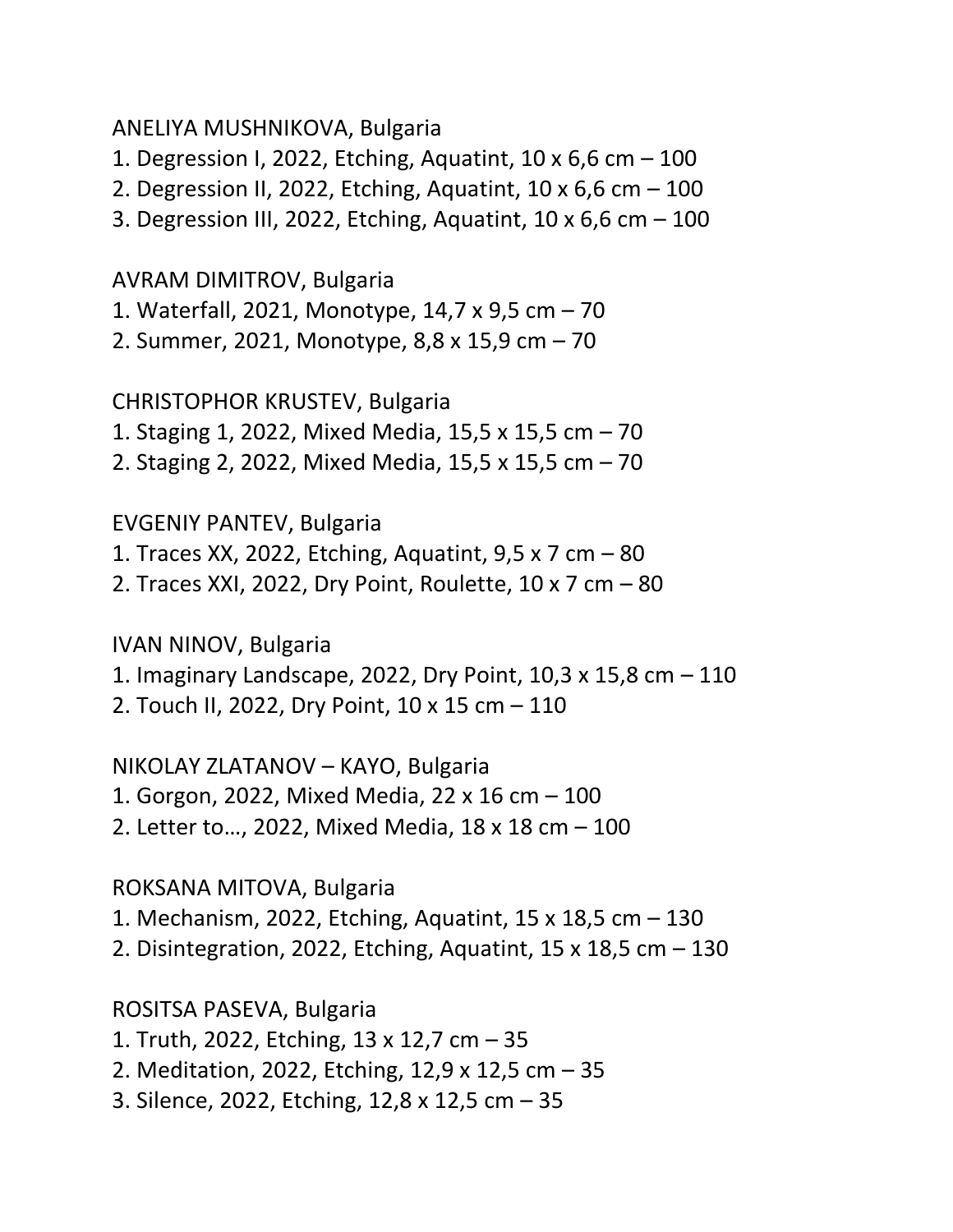#### ANELIYA MUSHNIKOVA, Bulgaria

1. Degression I, 2022, Etching, Aquatint, 10 x 6,6 cm – 100

- 2. Degression II, 2022, Etching, Aquatint, 10 x 6,6 cm 100
- 3. Degression III, 2022, Etching, Aquatint, 10 x 6,6 cm 100

AVRAM DIMITROV, Bulgaria

- 1. Waterfall, 2021, Monotype, 14,7 x 9,5 cm 70
- 2. Summer, 2021, Monotype, 8,8 x 15,9 cm 70

CHRISTOPHOR KRUSTEV, Bulgaria

- 1. Staging 1, 2022, Mixed Media, 15,5 x 15,5 cm 70
- 2. Staging 2, 2022, Mixed Media, 15,5 x 15,5 cm 70

# EVGENIY PANTEV, Bulgaria

- 1. Traces XX, 2022, Etching, Aquatint, 9,5 x 7 cm 80
- 2. Traces XXI, 2022, Dry Point, Roulette, 10 x 7 cm 80

IVAN NINOV, Bulgaria

- 1. Imaginary Landscape, 2022, Dry Point, 10,3 x 15,8 cm 110
- 2. Touch II, 2022, Dry Point, 10 x 15 cm 110

NIKOLAY ZLATANOV – KAYO, Bulgaria

1. Gorgon, 2022, Mixed Media, 22 x 16 cm – 100

2. Letter to…, 2022, Mixed Media, 18 x 18 cm – 100

ROKSANA MITOVA, Bulgaria

- 1. Mechanism, 2022, Etching, Aquatint, 15 x 18,5 cm 130
- 2. Disintegration, 2022, Etching, Aquatint, 15 x 18,5 cm 130

ROSITSA PASEVA, Bulgaria

1. Truth, 2022, Etching, 13 x 12,7 cm – 35

- 2. Meditation, 2022, Etching, 12,9 x 12,5 cm 35
- 3. Silence, 2022, Etching, 12,8 x 12,5 cm 35